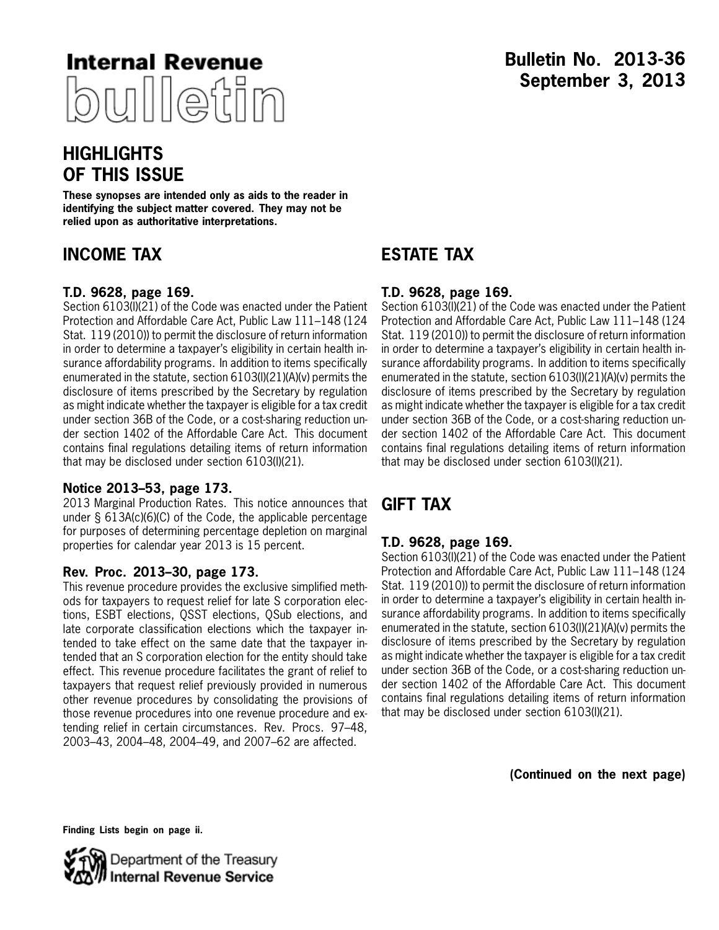

## **Bulletin No. 2013-36 September 3, 2013**

## **HIGHLIGHTS OF THIS ISSUE**

**These synopses are intended only as aids to the reader in identifying the subject matter covered. They may not be relied upon as authoritative interpretations.**

## **INCOME TAX**

## **T.D. 9628, page [169](#page-3-0).**

Section 6103(l)(21) of the Code was enacted under the Patient Protection and Affordable Care Act, Public Law 111–148 (124 Stat. 119 (2010)) to permit the disclosure of return information in order to determine a taxpayer's eligibility in certain health insurance affordability programs. In addition to items specifically enumerated in the statute, section 6103(l)(21)(A)(v) permits the disclosure of items prescribed by the Secretary by regulation as might indicate whether the taxpayer is eligible for a tax credit under section 36B of the Code, or a cost-sharing reduction under section 1402 of the Affordable Care Act. This document contains final regulations detailing items of return information that may be disclosed under section 6103(l)(21).

### **Notice 2013–53, page [173](#page-7-0).**

2013 Marginal Production Rates. This notice announces that under § 613A(c)(6)(C) of the Code, the applicable percentage for purposes of determining percentage depletion on marginal properties for calendar year 2013 is 15 percent.

### **Rev. Proc. 2013–30, page [173](#page-7-0).**

This revenue procedure provides the exclusive simplified methods for taxpayers to request relief for late S corporation elections, ESBT elections, QSST elections, QSub elections, and late corporate classification elections which the taxpayer intended to take effect on the same date that the taxpayer intended that an S corporation election for the entity should take effect. This revenue procedure facilitates the grant of relief to taxpayers that request relief previously provided in numerous other revenue procedures by consolidating the provisions of those revenue procedures into one revenue procedure and extending relief in certain circumstances. Rev. Procs. 97–48, 2003–43, 2004–48, 2004–49, and 2007–62 are affected.

## **ESTATE TAX**

### **T.D. 9628, page [169](#page-3-0).**

Section 6103(l)(21) of the Code was enacted under the Patient Protection and Affordable Care Act, Public Law 111–148 (124 Stat. 119 (2010)) to permit the disclosure of return information in order to determine a taxpayer's eligibility in certain health insurance affordability programs. In addition to items specifically enumerated in the statute, section 6103(l)(21)(A)(v) permits the disclosure of items prescribed by the Secretary by regulation as might indicate whether the taxpayer is eligible for a tax credit under section 36B of the Code, or a cost-sharing reduction under section 1402 of the Affordable Care Act. This document contains final regulations detailing items of return information that may be disclosed under section 6103(l)(21).

## **GIFT TAX**

## **T.D. 9628, page [169](#page-3-0).**

Section 6103(l)(21) of the Code was enacted under the Patient Protection and Affordable Care Act, Public Law 111–148 (124 Stat. 119 (2010)) to permit the disclosure of return information in order to determine a taxpayer's eligibility in certain health insurance affordability programs. In addition to items specifically enumerated in the statute, section 6103(l)(21)(A)(v) permits the disclosure of items prescribed by the Secretary by regulation as might indicate whether the taxpayer is eligible for a tax credit under section 36B of the Code, or a cost-sharing reduction under section 1402 of the Affordable Care Act. This document contains final regulations detailing items of return information that may be disclosed under section 6103(l)(21).

**(Continued on the next page)**

**Finding Lists begin on page ii.**

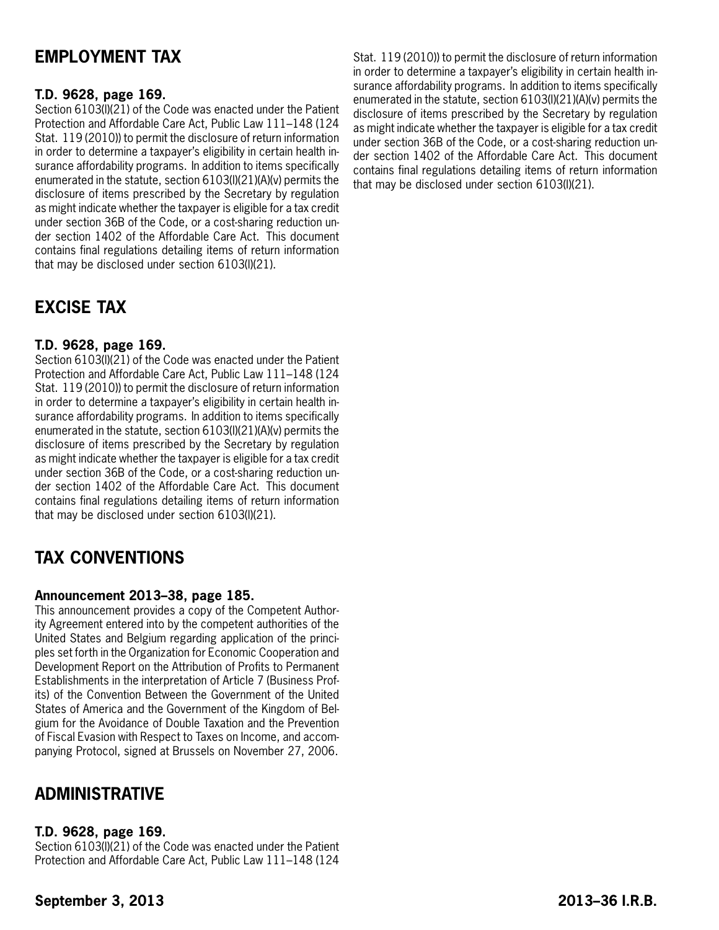## **EMPLOYMENT TAX**

## **T.D. 9628, page [169](#page-3-0).**

Section 6103(I)(21) of the Code was enacted under the Patient Protection and Affordable Care Act, Public Law 111–148 (124 Stat. 119 (2010)) to permit the disclosure of return information in order to determine a taxpayer's eligibility in certain health insurance affordability programs. In addition to items specifically enumerated in the statute, section 6103(l)(21)(A)(v) permits the disclosure of items prescribed by the Secretary by regulation as might indicate whether the taxpayer is eligible for a tax credit under section 36B of the Code, or a cost-sharing reduction under section 1402 of the Affordable Care Act. This document contains final regulations detailing items of return information that may be disclosed under section 6103(l)(21).

## **EXCISE TAX**

## **T.D. 9628, page [169](#page-3-0).**

Section 6103(l)(21) of the Code was enacted under the Patient Protection and Affordable Care Act, Public Law 111–148 (124 Stat. 119 (2010)) to permit the disclosure of return information in order to determine a taxpayer's eligibility in certain health insurance affordability programs. In addition to items specifically enumerated in the statute, section 6103(l)(21)(A)(v) permits the disclosure of items prescribed by the Secretary by regulation as might indicate whether the taxpayer is eligible for a tax credit under section 36B of the Code, or a cost-sharing reduction under section 1402 of the Affordable Care Act. This document contains final regulations detailing items of return information that may be disclosed under section 6103(l)(21).

## **TAX CONVENTIONS**

### **Announcement 2013–38, page [185](#page-19-0).**

This announcement provides a copy of the Competent Authority Agreement entered into by the competent authorities of the United States and Belgium regarding application of the principles set forth in the Organization for Economic Cooperation and Development Report on the Attribution of Profits to Permanent Establishments in the interpretation of Article 7 (Business Profits) of the Convention Between the Government of the United States of America and the Government of the Kingdom of Belgium for the Avoidance of Double Taxation and the Prevention of Fiscal Evasion with Respect to Taxes on Income, and accompanying Protocol, signed at Brussels on November 27, 2006.

## **ADMINISTRATIVE**

## **T.D. 9628, page [169](#page-3-0).**

Section 6103(l)(21) of the Code was enacted under the Patient Protection and Affordable Care Act, Public Law 111–148 (124

Stat. 119 (2010)) to permit the disclosure of return information in order to determine a taxpayer's eligibility in certain health insurance affordability programs. In addition to items specifically enumerated in the statute, section 6103(l)(21)(A)(v) permits the disclosure of items prescribed by the Secretary by regulation as might indicate whether the taxpayer is eligible for a tax credit under section 36B of the Code, or a cost-sharing reduction under section 1402 of the Affordable Care Act. This document contains final regulations detailing items of return information that may be disclosed under section 6103(l)(21).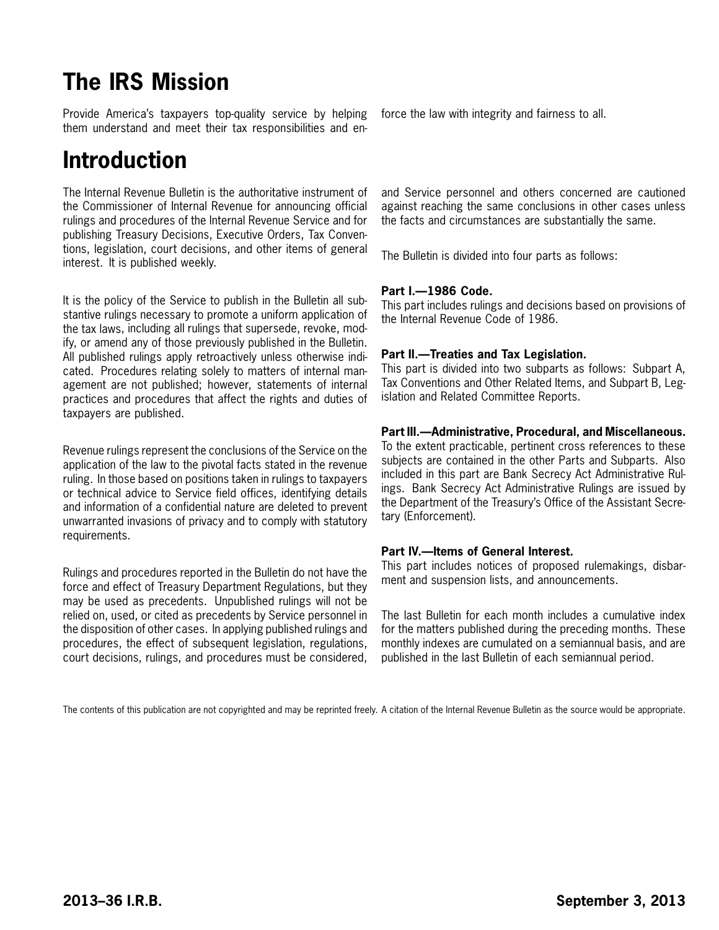# **The IRS Mission**

Provide America's taxpayers top-quality service by helping them understand and meet their tax responsibilities and en-

# **Introduction**

The Internal Revenue Bulletin is the authoritative instrument of the Commissioner of Internal Revenue for announcing official rulings and procedures of the Internal Revenue Service and for publishing Treasury Decisions, Executive Orders, Tax Conventions, legislation, court decisions, and other items of general interest. It is published weekly.

It is the policy of the Service to publish in the Bulletin all substantive rulings necessary to promote a uniform application of the tax laws, including all rulings that supersede, revoke, modify, or amend any of those previously published in the Bulletin. All published rulings apply retroactively unless otherwise indicated. Procedures relating solely to matters of internal management are not published; however, statements of internal practices and procedures that affect the rights and duties of taxpayers are published.

Revenue rulings represent the conclusions of the Service on the application of the law to the pivotal facts stated in the revenue ruling. In those based on positions taken in rulings to taxpayers or technical advice to Service field offices, identifying details and information of a confidential nature are deleted to prevent unwarranted invasions of privacy and to comply with statutory requirements.

Rulings and procedures reported in the Bulletin do not have the force and effect of Treasury Department Regulations, but they may be used as precedents. Unpublished rulings will not be relied on, used, or cited as precedents by Service personnel in the disposition of other cases. In applying published rulings and procedures, the effect of subsequent legislation, regulations, court decisions, rulings, and procedures must be considered,

force the law with integrity and fairness to all.

and Service personnel and others concerned are cautioned against reaching the same conclusions in other cases unless the facts and circumstances are substantially the same.

The Bulletin is divided into four parts as follows:

### **Part I.—1986 Code.**

This part includes rulings and decisions based on provisions of the Internal Revenue Code of 1986.

#### **Part II.—Treaties and Tax Legislation.**

This part is divided into two subparts as follows: Subpart A, Tax Conventions and Other Related Items, and Subpart B, Legislation and Related Committee Reports.

#### **Part III.—Administrative, Procedural, and Miscellaneous.**

To the extent practicable, pertinent cross references to these subjects are contained in the other Parts and Subparts. Also included in this part are Bank Secrecy Act Administrative Rulings. Bank Secrecy Act Administrative Rulings are issued by the Department of the Treasury's Office of the Assistant Secretary (Enforcement).

#### **Part IV.—Items of General Interest.**

This part includes notices of proposed rulemakings, disbarment and suspension lists, and announcements.

The last Bulletin for each month includes a cumulative index for the matters published during the preceding months. These monthly indexes are cumulated on a semiannual basis, and are published in the last Bulletin of each semiannual period.

The contents of this publication are not copyrighted and may be reprinted freely. A citation of the Internal Revenue Bulletin as the source would be appropriate.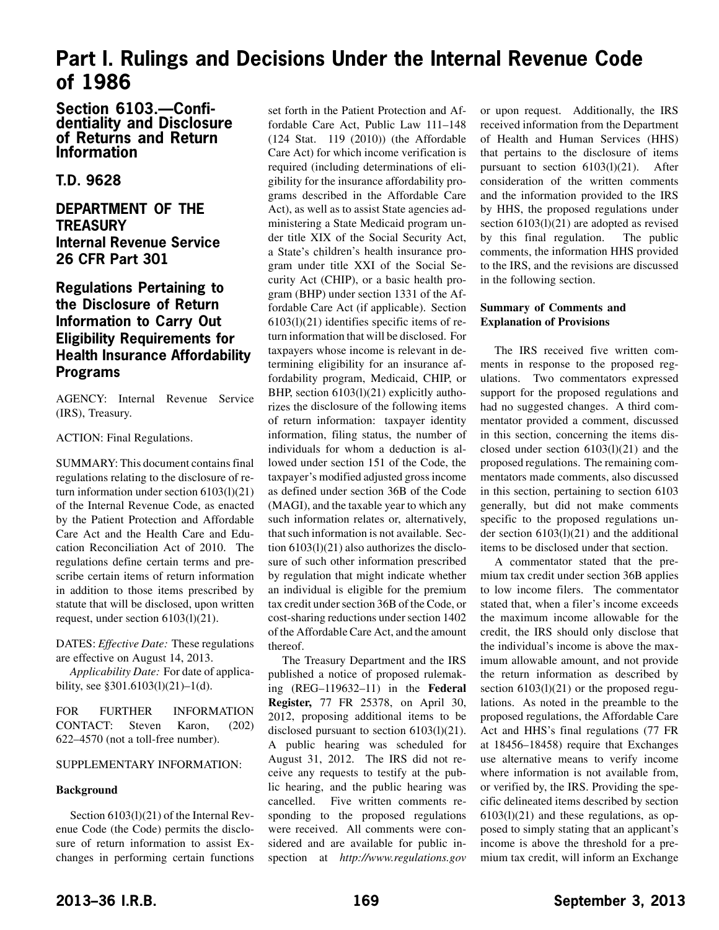## <span id="page-3-0"></span>**Part I. Rulings and Decisions Under the Internal Revenue Code of 1986**

### **Section 6103.—Confidentiality and Disclosure of Returns and Return Information**

## **T.D. 9628**

## **DEPARTMENT OF THE TREASURY Internal Revenue Service 26 CFR Part 301**

## **Regulations Pertaining to the Disclosure of Return Information to Carry Out Eligibility Requirements for Health Insurance Affordability Programs**

AGENCY: Internal Revenue Service (IRS), Treasury.

#### ACTION: Final Regulations.

SUMMARY: This document contains final regulations relating to the disclosure of return information under section 6103(l)(21) of the Internal Revenue Code, as enacted by the Patient Protection and Affordable Care Act and the Health Care and Education Reconciliation Act of 2010. The regulations define certain terms and prescribe certain items of return information in addition to those items prescribed by statute that will be disclosed, upon written request, under section 6103(l)(21).

DATES: *Effective Date:* These regulations are effective on August 14, 2013.

*Applicability Date:* For date of applicability, see §301.6103(l)(21)–1(d).

FOR FURTHER INFORMATION CONTACT: Steven Karon, (202) 622–4570 (not a toll-free number).

#### SUPPLEMENTARY INFORMATION:

#### **Background**

Section 6103(l)(21) of the Internal Revenue Code (the Code) permits the disclosure of return information to assist Exchanges in performing certain functions set forth in the Patient Protection and Affordable Care Act, Public Law 111–148 (124 Stat. 119 (2010)) (the Affordable Care Act) for which income verification is required (including determinations of eligibility for the insurance affordability programs described in the Affordable Care Act), as well as to assist State agencies administering a State Medicaid program under title XIX of the Social Security Act, a State's children's health insurance program under title XXI of the Social Security Act (CHIP), or a basic health program (BHP) under section 1331 of the Affordable Care Act (if applicable). Section  $6103(1)(21)$  identifies specific items of return information that will be disclosed. For taxpayers whose income is relevant in determining eligibility for an insurance affordability program, Medicaid, CHIP, or BHP, section 6103(1)(21) explicitly authorizes the disclosure of the following items of return information: taxpayer identity information, filing status, the number of individuals for whom a deduction is allowed under section 151 of the Code, the taxpayer's modified adjusted gross income as defined under section 36B of the Code (MAGI), and the taxable year to which any such information relates or, alternatively, that such information is not available. Section 6103(l)(21) also authorizes the disclosure of such other information prescribed by regulation that might indicate whether an individual is eligible for the premium tax credit under section 36B of the Code, or cost-sharing reductions under section 1402 of the Affordable Care Act, and the amount thereof.

The Treasury Department and the IRS published a notice of proposed rulemaking (REG–119632–11) in the **Federal Register,** 77 FR 25378, on April 30, 2012, proposing additional items to be disclosed pursuant to section 6103(l)(21). A public hearing was scheduled for August 31, 2012. The IRS did not receive any requests to testify at the public hearing, and the public hearing was cancelled. Five written comments responding to the proposed regulations were received. All comments were considered and are available for public inspection at *http://www.regulations.gov*

or upon request. Additionally, the IRS received information from the Department of Health and Human Services (HHS) that pertains to the disclosure of items pursuant to section  $6103(1)(21)$ . After consideration of the written comments and the information provided to the IRS by HHS, the proposed regulations under section  $6103(1)(21)$  are adopted as revised by this final regulation. The public comments, the information HHS provided to the IRS, and the revisions are discussed in the following section.

#### **Summary of Comments and Explanation of Provisions**

The IRS received five written comments in response to the proposed regulations. Two commentators expressed support for the proposed regulations and had no suggested changes. A third commentator provided a comment, discussed in this section, concerning the items disclosed under section 6103(l)(21) and the proposed regulations. The remaining commentators made comments, also discussed in this section, pertaining to section 6103 generally, but did not make comments specific to the proposed regulations under section 6103(l)(21) and the additional items to be disclosed under that section.

A commentator stated that the premium tax credit under section 36B applies to low income filers. The commentator stated that, when a filer's income exceeds the maximum income allowable for the credit, the IRS should only disclose that the individual's income is above the maximum allowable amount, and not provide the return information as described by section  $6103(1)(21)$  or the proposed regulations. As noted in the preamble to the proposed regulations, the Affordable Care Act and HHS's final regulations (77 FR at 18456–18458) require that Exchanges use alternative means to verify income where information is not available from, or verified by, the IRS. Providing the specific delineated items described by section  $6103(1)(21)$  and these regulations, as opposed to simply stating that an applicant's income is above the threshold for a premium tax credit, will inform an Exchange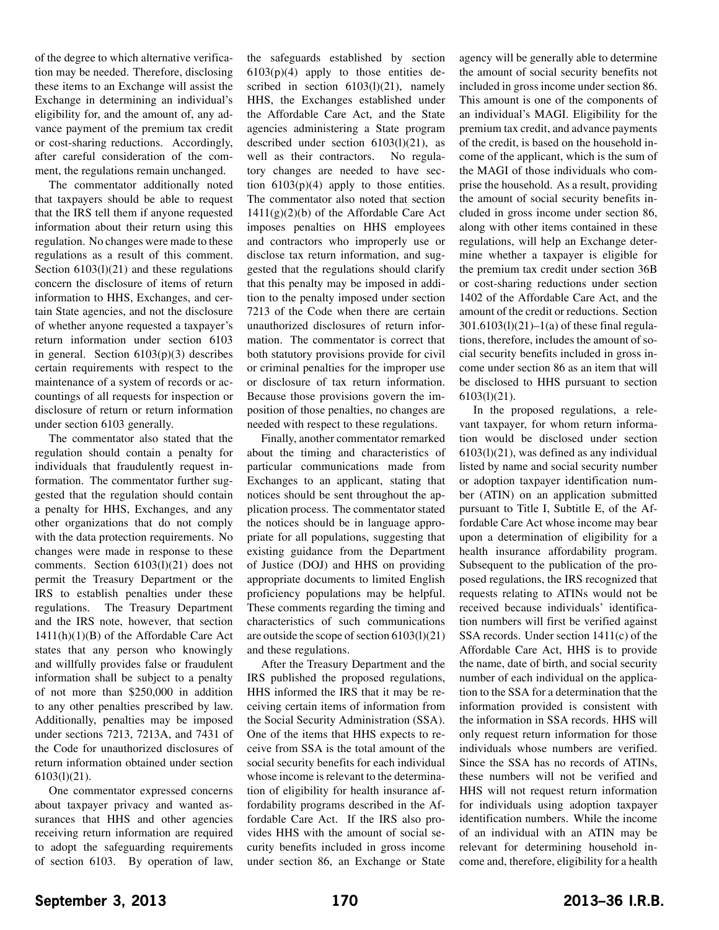of the degree to which alternative verification may be needed. Therefore, disclosing these items to an Exchange will assist the Exchange in determining an individual's eligibility for, and the amount of, any advance payment of the premium tax credit or cost-sharing reductions. Accordingly, after careful consideration of the comment, the regulations remain unchanged.

The commentator additionally noted that taxpayers should be able to request that the IRS tell them if anyone requested information about their return using this regulation. No changes were made to these regulations as a result of this comment. Section  $6103(1)(21)$  and these regulations concern the disclosure of items of return information to HHS, Exchanges, and certain State agencies, and not the disclosure of whether anyone requested a taxpayer's return information under section 6103 in general. Section 6103(p)(3) describes certain requirements with respect to the maintenance of a system of records or accountings of all requests for inspection or disclosure of return or return information under section 6103 generally.

The commentator also stated that the regulation should contain a penalty for individuals that fraudulently request information. The commentator further suggested that the regulation should contain a penalty for HHS, Exchanges, and any other organizations that do not comply with the data protection requirements. No changes were made in response to these comments. Section 6103(l)(21) does not permit the Treasury Department or the IRS to establish penalties under these regulations. The Treasury Department and the IRS note, however, that section 1411(h)(1)(B) of the Affordable Care Act states that any person who knowingly and willfully provides false or fraudulent information shall be subject to a penalty of not more than \$250,000 in addition to any other penalties prescribed by law. Additionally, penalties may be imposed under sections 7213, 7213A, and 7431 of the Code for unauthorized disclosures of return information obtained under section 6103(l)(21).

One commentator expressed concerns about taxpayer privacy and wanted assurances that HHS and other agencies receiving return information are required to adopt the safeguarding requirements of section 6103. By operation of law, the safeguards established by section  $6103(p)(4)$  apply to those entities described in section  $6103(1)(21)$ , namely HHS, the Exchanges established under the Affordable Care Act, and the State agencies administering a State program described under section 6103(l)(21), as well as their contractors. No regulatory changes are needed to have section  $6103(p)(4)$  apply to those entities. The commentator also noted that section  $1411(g)(2)(b)$  of the Affordable Care Act imposes penalties on HHS employees and contractors who improperly use or disclose tax return information, and suggested that the regulations should clarify that this penalty may be imposed in addition to the penalty imposed under section 7213 of the Code when there are certain unauthorized disclosures of return information. The commentator is correct that both statutory provisions provide for civil or criminal penalties for the improper use or disclosure of tax return information. Because those provisions govern the imposition of those penalties, no changes are needed with respect to these regulations.

Finally, another commentator remarked about the timing and characteristics of particular communications made from Exchanges to an applicant, stating that notices should be sent throughout the application process. The commentator stated the notices should be in language appropriate for all populations, suggesting that existing guidance from the Department of Justice (DOJ) and HHS on providing appropriate documents to limited English proficiency populations may be helpful. These comments regarding the timing and characteristics of such communications are outside the scope of section 6103(l)(21) and these regulations.

After the Treasury Department and the IRS published the proposed regulations, HHS informed the IRS that it may be receiving certain items of information from the Social Security Administration (SSA). One of the items that HHS expects to receive from SSA is the total amount of the social security benefits for each individual whose income is relevant to the determination of eligibility for health insurance affordability programs described in the Affordable Care Act. If the IRS also provides HHS with the amount of social security benefits included in gross income under section 86, an Exchange or State

agency will be generally able to determine the amount of social security benefits not included in gross income under section 86. This amount is one of the components of an individual's MAGI. Eligibility for the premium tax credit, and advance payments of the credit, is based on the household income of the applicant, which is the sum of the MAGI of those individuals who comprise the household. As a result, providing the amount of social security benefits included in gross income under section 86, along with other items contained in these regulations, will help an Exchange determine whether a taxpayer is eligible for the premium tax credit under section 36B or cost-sharing reductions under section 1402 of the Affordable Care Act, and the amount of the credit or reductions. Section  $301.6103(1)(21) - 1(a)$  of these final regulations, therefore, includes the amount of social security benefits included in gross income under section 86 as an item that will be disclosed to HHS pursuant to section 6103(l)(21).

In the proposed regulations, a relevant taxpayer, for whom return information would be disclosed under section  $6103(1)(21)$ , was defined as any individual listed by name and social security number or adoption taxpayer identification number (ATIN) on an application submitted pursuant to Title I, Subtitle E, of the Affordable Care Act whose income may bear upon a determination of eligibility for a health insurance affordability program. Subsequent to the publication of the proposed regulations, the IRS recognized that requests relating to ATINs would not be received because individuals' identification numbers will first be verified against SSA records. Under section 1411(c) of the Affordable Care Act, HHS is to provide the name, date of birth, and social security number of each individual on the application to the SSA for a determination that the information provided is consistent with the information in SSA records. HHS will only request return information for those individuals whose numbers are verified. Since the SSA has no records of ATINs, these numbers will not be verified and HHS will not request return information for individuals using adoption taxpayer identification numbers. While the income of an individual with an ATIN may be relevant for determining household income and, therefore, eligibility for a health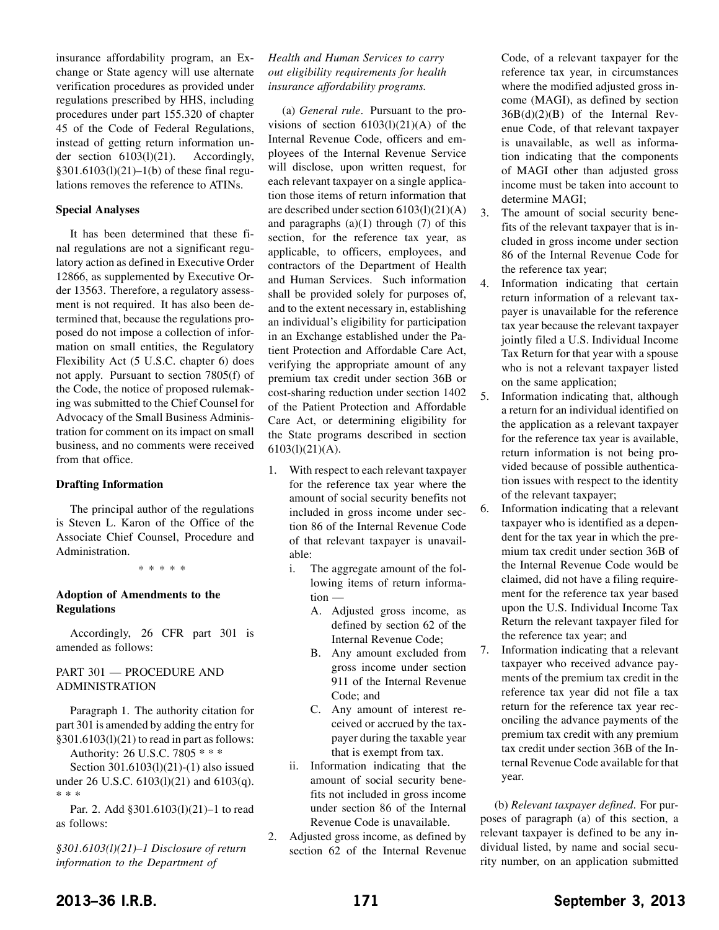insurance affordability program, an Exchange or State agency will use alternate verification procedures as provided under regulations prescribed by HHS, including procedures under part 155.320 of chapter 45 of the Code of Federal Regulations, instead of getting return information under section 6103(l)(21). Accordingly,  $§301.6103(1)(21) - 1(b)$  of these final regulations removes the reference to ATINs.

#### **Special Analyses**

It has been determined that these final regulations are not a significant regulatory action as defined in Executive Order 12866, as supplemented by Executive Order 13563. Therefore, a regulatory assessment is not required. It has also been determined that, because the regulations proposed do not impose a collection of information on small entities, the Regulatory Flexibility Act (5 U.S.C. chapter 6) does not apply. Pursuant to section 7805(f) of the Code, the notice of proposed rulemaking was submitted to the Chief Counsel for Advocacy of the Small Business Administration for comment on its impact on small business, and no comments were received from that office.

#### **Drafting Information**

The principal author of the regulations is Steven L. Karon of the Office of the Associate Chief Counsel, Procedure and Administration.

\*\*\*\*\*

#### **Adoption of Amendments to the Regulations**

Accordingly, 26 CFR part 301 is amended as follows:

#### PART 301 — PROCEDURE AND ADMINISTRATION

Paragraph 1. The authority citation for part 301 is amended by adding the entry for §301.6103(l)(21) to read in part as follows:

Authority: 26 U.S.C. 7805 \* \* \* Section 301.6103(1)(21)-(1) also issued under 26 U.S.C. 6103(l)(21) and 6103(q). \*\*\*

Par. 2. Add §301.6103(l)(21)–1 to read as follows:

*§301.6103(l)(21)–1 Disclosure of return information to the Department of*

#### *Health and Human Services to carry out eligibility requirements for health insurance affordability programs.*

(a) *General rule*. Pursuant to the provisions of section  $6103(1)(21)(A)$  of the Internal Revenue Code, officers and employees of the Internal Revenue Service will disclose, upon written request, for each relevant taxpayer on a single application those items of return information that are described under section 6103(l)(21)(A) and paragraphs  $(a)(1)$  through  $(7)$  of this section, for the reference tax year, as applicable, to officers, employees, and contractors of the Department of Health and Human Services. Such information shall be provided solely for purposes of, and to the extent necessary in, establishing an individual's eligibility for participation in an Exchange established under the Patient Protection and Affordable Care Act, verifying the appropriate amount of any premium tax credit under section 36B or cost-sharing reduction under section 1402 of the Patient Protection and Affordable Care Act, or determining eligibility for the State programs described in section 6103(l)(21)(A).

- 1. With respect to each relevant taxpayer for the reference tax year where the amount of social security benefits not included in gross income under section 86 of the Internal Revenue Code of that relevant taxpayer is unavailable:
	- i. The aggregate amount of the following items of return information —
		- A. Adjusted gross income, as defined by section 62 of the Internal Revenue Code;
		- B. Any amount excluded from gross income under section 911 of the Internal Revenue Code; and
		- C. Any amount of interest received or accrued by the taxpayer during the taxable year that is exempt from tax.
	- ii. Information indicating that the amount of social security benefits not included in gross income under section 86 of the Internal Revenue Code is unavailable.
- 2. Adjusted gross income, as defined by section 62 of the Internal Revenue

Code, of a relevant taxpayer for the reference tax year, in circumstances where the modified adjusted gross income (MAGI), as defined by section 36B(d)(2)(B) of the Internal Revenue Code, of that relevant taxpayer is unavailable, as well as information indicating that the components of MAGI other than adjusted gross income must be taken into account to determine MAGI;

- 3. The amount of social security benefits of the relevant taxpayer that is included in gross income under section 86 of the Internal Revenue Code for the reference tax year;
- 4. Information indicating that certain return information of a relevant taxpayer is unavailable for the reference tax year because the relevant taxpayer jointly filed a U.S. Individual Income Tax Return for that year with a spouse who is not a relevant taxpayer listed on the same application;
- 5. Information indicating that, although a return for an individual identified on the application as a relevant taxpayer for the reference tax year is available, return information is not being provided because of possible authentication issues with respect to the identity of the relevant taxpayer;
- 6. Information indicating that a relevant taxpayer who is identified as a dependent for the tax year in which the premium tax credit under section 36B of the Internal Revenue Code would be claimed, did not have a filing requirement for the reference tax year based upon the U.S. Individual Income Tax Return the relevant taxpayer filed for the reference tax year; and
- 7. Information indicating that a relevant taxpayer who received advance payments of the premium tax credit in the reference tax year did not file a tax return for the reference tax year reconciling the advance payments of the premium tax credit with any premium tax credit under section 36B of the Internal Revenue Code available for that year.

(b) *Relevant taxpayer defined*. For purposes of paragraph (a) of this section, a relevant taxpayer is defined to be any individual listed, by name and social security number, on an application submitted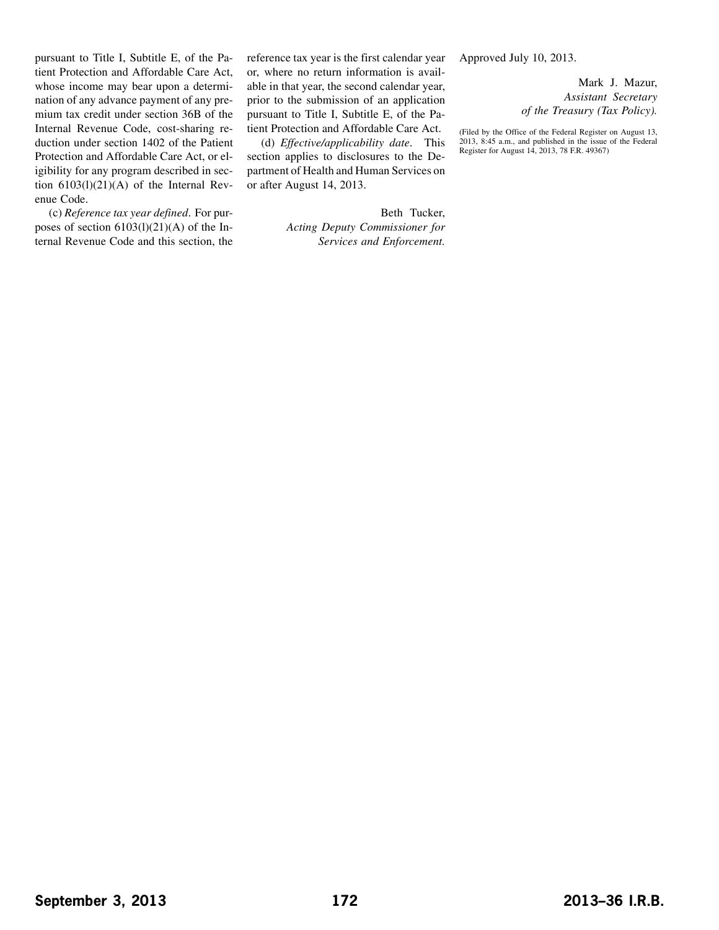pursuant to Title I, Subtitle E, of the Patient Protection and Affordable Care Act, whose income may bear upon a determination of any advance payment of any premium tax credit under section 36B of the Internal Revenue Code, cost-sharing reduction under section 1402 of the Patient Protection and Affordable Care Act, or eligibility for any program described in section 6103(l)(21)(A) of the Internal Revenue Code.

(c) *Reference tax year defined*. For purposes of section 6103(l)(21)(A) of the Internal Revenue Code and this section, the

reference tax year is the first calendar year or, where no return information is available in that year, the second calendar year, prior to the submission of an application pursuant to Title I, Subtitle E, of the Patient Protection and Affordable Care Act.

(d) *Effective/applicability date*. This section applies to disclosures to the Department of Health and Human Services on or after August 14, 2013.

> Beth Tucker, *Acting Deputy Commissioner for Services and Enforcement.*

Approved July 10, 2013.

Mark J. Mazur, *Assistant Secretary of the Treasury (Tax Policy).*

(Filed by the Office of the Federal Register on August 13, 2013, 8:45 a.m., and published in the issue of the Federal Register for August 14, 2013, 78 F.R. 49367)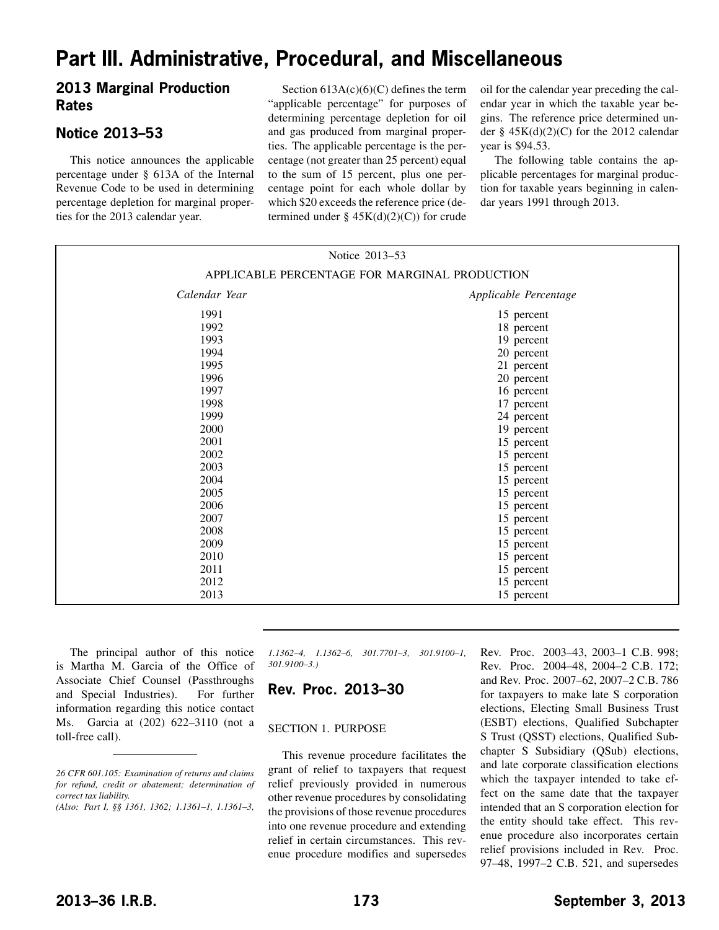## <span id="page-7-0"></span>**Part III. Administrative, Procedural, and Miscellaneous**

### **2013 Marginal Production Rates**

## **Notice 2013–53**

This notice announces the applicable percentage under § 613A of the Internal Revenue Code to be used in determining percentage depletion for marginal properties for the 2013 calendar year.

Section  $613A(c)(6)(C)$  defines the term "applicable percentage" for purposes of determining percentage depletion for oil and gas produced from marginal properties. The applicable percentage is the percentage (not greater than 25 percent) equal to the sum of 15 percent, plus one percentage point for each whole dollar by which \$20 exceeds the reference price (determined under §  $45K(d)(2)(C)$  for crude oil for the calendar year preceding the calendar year in which the taxable year begins. The reference price determined under §  $45K(d)(2)(C)$  for the 2012 calendar year is \$94.53.

The following table contains the applicable percentages for marginal production for taxable years beginning in calendar years 1991 through 2013.

| Notice 2013-53<br>APPLICABLE PERCENTAGE FOR MARGINAL PRODUCTION |            |
|-----------------------------------------------------------------|------------|
|                                                                 |            |
| 1991                                                            | 15 percent |
| 1992                                                            | 18 percent |
| 1993                                                            | 19 percent |
| 1994                                                            | 20 percent |
| 1995                                                            | 21 percent |
| 1996                                                            | 20 percent |
| 1997                                                            | 16 percent |
| 1998                                                            | 17 percent |
| 1999                                                            | 24 percent |
| 2000                                                            | 19 percent |
| 2001                                                            | 15 percent |
| 2002                                                            | 15 percent |
| 2003                                                            | 15 percent |
| 2004                                                            | 15 percent |
| 2005                                                            | 15 percent |
| 2006                                                            | 15 percent |
| 2007                                                            | 15 percent |
| 2008                                                            | 15 percent |
| 2009                                                            | 15 percent |
| 2010                                                            | 15 percent |
| 2011                                                            | 15 percent |
| 2012                                                            | 15 percent |
| 2013                                                            | 15 percent |

The principal author of this notice is Martha M. Garcia of the Office of Associate Chief Counsel (Passthroughs and Special Industries). For further information regarding this notice contact Ms. Garcia at (202) 622–3110 (not a toll-free call).

*1.1362–4, 1.1362–6, 301.7701–3, 301.9100–1, 301.9100–3.)*

### **Rev. Proc. 2013–30**

#### SECTION 1. PURPOSE

This revenue procedure facilitates the grant of relief to taxpayers that request relief previously provided in numerous other revenue procedures by consolidating the provisions of those revenue procedures into one revenue procedure and extending relief in certain circumstances. This revenue procedure modifies and supersedes Rev. Proc. 2003–43, 2003–1 C.B. 998; Rev. Proc. 2004–48, 2004–2 C.B. 172; and Rev. Proc. 2007–62, 2007–2 C.B. 786 for taxpayers to make late S corporation elections, Electing Small Business Trust (ESBT) elections, Qualified Subchapter S Trust (QSST) elections, Qualified Subchapter S Subsidiary (QSub) elections, and late corporate classification elections which the taxpayer intended to take effect on the same date that the taxpayer intended that an S corporation election for the entity should take effect. This revenue procedure also incorporates certain relief provisions included in Rev. Proc. 97–48, 1997–2 C.B. 521, and supersedes

*<sup>26</sup> CFR 601.105: Examination of returns and claims for refund, credit or abatement; determination of correct tax liability.*

*<sup>(</sup>Also: Part I, §§ 1361, 1362; 1.1361–1, 1.1361–3,*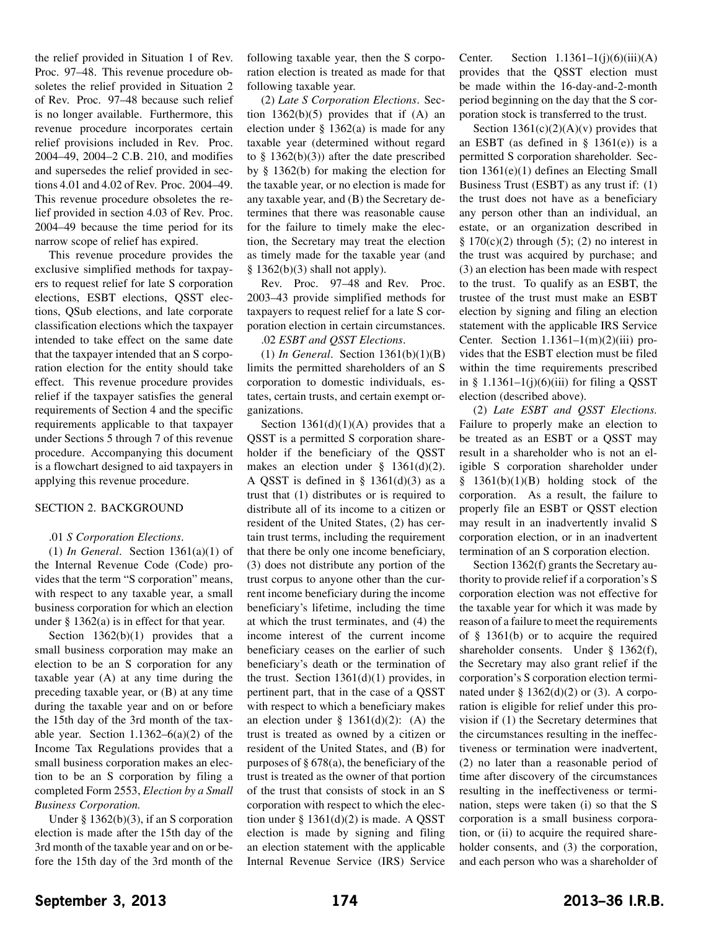the relief provided in Situation 1 of Rev. Proc. 97–48. This revenue procedure obsoletes the relief provided in Situation 2 of Rev. Proc. 97–48 because such relief is no longer available. Furthermore, this revenue procedure incorporates certain relief provisions included in Rev. Proc. 2004–49, 2004–2 C.B. 210, and modifies and supersedes the relief provided in sections 4.01 and 4.02 of Rev. Proc. 2004–49. This revenue procedure obsoletes the relief provided in section 4.03 of Rev. Proc. 2004–49 because the time period for its narrow scope of relief has expired.

This revenue procedure provides the exclusive simplified methods for taxpayers to request relief for late S corporation elections, ESBT elections, QSST elections, QSub elections, and late corporate classification elections which the taxpayer intended to take effect on the same date that the taxpayer intended that an S corporation election for the entity should take effect. This revenue procedure provides relief if the taxpayer satisfies the general requirements of Section 4 and the specific requirements applicable to that taxpayer under Sections 5 through 7 of this revenue procedure. Accompanying this document is a flowchart designed to aid taxpayers in applying this revenue procedure.

#### SECTION 2. BACKGROUND

#### .01 *S Corporation Elections*.

(1) *In General*. Section 1361(a)(1) of the Internal Revenue Code (Code) provides that the term "S corporation" means, with respect to any taxable year, a small business corporation for which an election under § 1362(a) is in effect for that year.

Section  $1362(b)(1)$  provides that a small business corporation may make an election to be an S corporation for any taxable year (A) at any time during the preceding taxable year, or (B) at any time during the taxable year and on or before the 15th day of the 3rd month of the taxable year. Section  $1.1362-6(a)(2)$  of the Income Tax Regulations provides that a small business corporation makes an election to be an S corporation by filing a completed Form 2553, *Election by a Small Business Corporation.*

Under § 1362(b)(3), if an S corporation election is made after the 15th day of the 3rd month of the taxable year and on or before the 15th day of the 3rd month of the

following taxable year, then the S corporation election is treated as made for that following taxable year.

(2) *Late S Corporation Elections*. Section  $1362(b)(5)$  provides that if  $(A)$  an election under § 1362(a) is made for any taxable year (determined without regard to  $§$  1362(b)(3)) after the date prescribed by § 1362(b) for making the election for the taxable year, or no election is made for any taxable year, and (B) the Secretary determines that there was reasonable cause for the failure to timely make the election, the Secretary may treat the election as timely made for the taxable year (and  $§ 1362(b)(3)$  shall not apply).

Rev. Proc. 97–48 and Rev. Proc. 2003–43 provide simplified methods for taxpayers to request relief for a late S corporation election in certain circumstances.

#### .02 *ESBT and QSST Elections*.

(1) *In General*. Section 1361(b)(1)(B) limits the permitted shareholders of an S corporation to domestic individuals, estates, certain trusts, and certain exempt organizations.

Section  $1361(d)(1)(A)$  provides that a QSST is a permitted S corporation shareholder if the beneficiary of the QSST makes an election under  $§$  1361(d)(2). A QSST is defined in  $\S$  1361(d)(3) as a trust that (1) distributes or is required to distribute all of its income to a citizen or resident of the United States, (2) has certain trust terms, including the requirement that there be only one income beneficiary, (3) does not distribute any portion of the trust corpus to anyone other than the current income beneficiary during the income beneficiary's lifetime, including the time at which the trust terminates, and (4) the income interest of the current income beneficiary ceases on the earlier of such beneficiary's death or the termination of the trust. Section  $1361(d)(1)$  provides, in pertinent part, that in the case of a QSST with respect to which a beneficiary makes an election under  $\S$  1361(d)(2): (A) the trust is treated as owned by a citizen or resident of the United States, and (B) for purposes of  $\S 678(a)$ , the beneficiary of the trust is treated as the owner of that portion of the trust that consists of stock in an S corporation with respect to which the election under  $\S$  1361(d)(2) is made. A QSST election is made by signing and filing an election statement with the applicable Internal Revenue Service (IRS) Service

Center. Section  $1.1361-1(j)(6)(iii)(A)$ provides that the QSST election must be made within the 16-day-and-2-month period beginning on the day that the S corporation stock is transferred to the trust.

Section  $1361(c)(2)(A)(v)$  provides that an ESBT (as defined in  $\S$  1361(e)) is a permitted S corporation shareholder. Section 1361(e)(1) defines an Electing Small Business Trust (ESBT) as any trust if: (1) the trust does not have as a beneficiary any person other than an individual, an estate, or an organization described in §  $170(c)(2)$  through (5); (2) no interest in the trust was acquired by purchase; and (3) an election has been made with respect to the trust. To qualify as an ESBT, the trustee of the trust must make an ESBT election by signing and filing an election statement with the applicable IRS Service Center. Section  $1.1361-1(m)(2)(iii)$  provides that the ESBT election must be filed within the time requirements prescribed in § 1.1361–1(j)(6)(iii) for filing a QSST election (described above).

(2) *Late ESBT and QSST Elections.* Failure to properly make an election to be treated as an ESBT or a QSST may result in a shareholder who is not an eligible S corporation shareholder under § 1361(b)(1)(B) holding stock of the corporation. As a result, the failure to properly file an ESBT or QSST election may result in an inadvertently invalid S corporation election, or in an inadvertent termination of an S corporation election.

Section 1362(f) grants the Secretary authority to provide relief if a corporation's S corporation election was not effective for the taxable year for which it was made by reason of a failure to meet the requirements of § 1361(b) or to acquire the required shareholder consents. Under § 1362(f), the Secretary may also grant relief if the corporation's S corporation election terminated under  $\S 1362(d)(2)$  or (3). A corporation is eligible for relief under this provision if (1) the Secretary determines that the circumstances resulting in the ineffectiveness or termination were inadvertent, (2) no later than a reasonable period of time after discovery of the circumstances resulting in the ineffectiveness or termination, steps were taken (i) so that the S corporation is a small business corporation, or (ii) to acquire the required shareholder consents, and  $(3)$  the corporation, and each person who was a shareholder of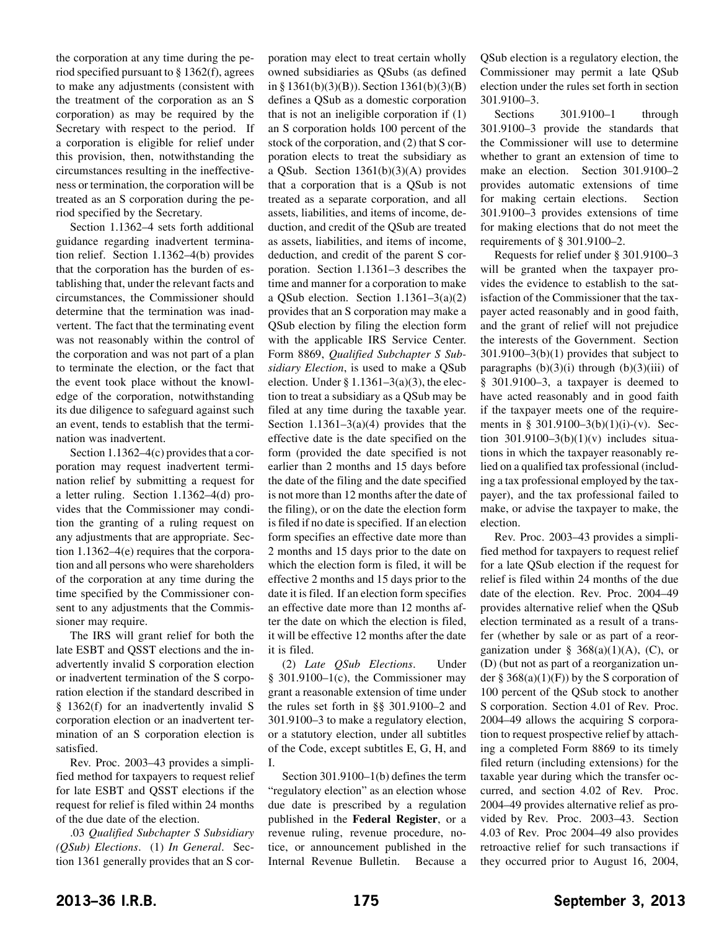the corporation at any time during the period specified pursuant to § 1362(f), agrees to make any adjustments (consistent with the treatment of the corporation as an S corporation) as may be required by the Secretary with respect to the period. If a corporation is eligible for relief under this provision, then, notwithstanding the circumstances resulting in the ineffectiveness or termination, the corporation will be treated as an S corporation during the period specified by the Secretary.

Section 1.1362–4 sets forth additional guidance regarding inadvertent termination relief. Section 1.1362–4(b) provides that the corporation has the burden of establishing that, under the relevant facts and circumstances, the Commissioner should determine that the termination was inadvertent. The fact that the terminating event was not reasonably within the control of the corporation and was not part of a plan to terminate the election, or the fact that the event took place without the knowledge of the corporation, notwithstanding its due diligence to safeguard against such an event, tends to establish that the termination was inadvertent.

Section 1.1362–4(c) provides that a corporation may request inadvertent termination relief by submitting a request for a letter ruling. Section 1.1362–4(d) provides that the Commissioner may condition the granting of a ruling request on any adjustments that are appropriate. Section 1.1362–4(e) requires that the corporation and all persons who were shareholders of the corporation at any time during the time specified by the Commissioner consent to any adjustments that the Commissioner may require.

The IRS will grant relief for both the late ESBT and QSST elections and the inadvertently invalid S corporation election or inadvertent termination of the S corporation election if the standard described in § 1362(f) for an inadvertently invalid S corporation election or an inadvertent termination of an S corporation election is satisfied.

Rev. Proc. 2003–43 provides a simplified method for taxpayers to request relief for late ESBT and QSST elections if the request for relief is filed within 24 months of the due date of the election.

.03 *Qualified Subchapter S Subsidiary (QSub) Elections*. (1) *In General*. Section 1361 generally provides that an S cor-

poration may elect to treat certain wholly owned subsidiaries as QSubs (as defined in § 1361(b)(3)(B)). Section  $1361(b)(3)(B)$ defines a QSub as a domestic corporation that is not an ineligible corporation if (1) an S corporation holds 100 percent of the stock of the corporation, and (2) that S corporation elects to treat the subsidiary as a QSub. Section 1361(b)(3)(A) provides that a corporation that is a QSub is not treated as a separate corporation, and all assets, liabilities, and items of income, deduction, and credit of the QSub are treated as assets, liabilities, and items of income, deduction, and credit of the parent S corporation. Section 1.1361–3 describes the time and manner for a corporation to make a QSub election. Section  $1.1361-3(a)(2)$ provides that an S corporation may make a QSub election by filing the election form with the applicable IRS Service Center. Form 8869, *Qualified Subchapter S Subsidiary Election*, is used to make a QSub election. Under  $\S 1.1361-3(a)(3)$ , the election to treat a subsidiary as a QSub may be filed at any time during the taxable year. Section  $1.1361-3(a)(4)$  provides that the effective date is the date specified on the form (provided the date specified is not earlier than 2 months and 15 days before the date of the filing and the date specified is not more than 12 months after the date of the filing), or on the date the election form is filed if no date is specified. If an election form specifies an effective date more than 2 months and 15 days prior to the date on which the election form is filed, it will be effective 2 months and 15 days prior to the date it is filed. If an election form specifies an effective date more than 12 months after the date on which the election is filed, it will be effective 12 months after the date it is filed.

(2) *Late QSub Elections*. Under § 301.9100–1(c), the Commissioner may grant a reasonable extension of time under the rules set forth in §§ 301.9100–2 and 301.9100–3 to make a regulatory election, or a statutory election, under all subtitles of the Code, except subtitles E, G, H, and I.

Section 301.9100–1(b) defines the term "regulatory election" as an election whose due date is prescribed by a regulation published in the **Federal Register**, or a revenue ruling, revenue procedure, notice, or announcement published in the Internal Revenue Bulletin. Because a QSub election is a regulatory election, the Commissioner may permit a late QSub election under the rules set forth in section 301.9100–3.

Sections 301.9100–1 through 301.9100–3 provide the standards that the Commissioner will use to determine whether to grant an extension of time to make an election. Section 301.9100–2 provides automatic extensions of time for making certain elections. Section 301.9100–3 provides extensions of time for making elections that do not meet the requirements of § 301.9100–2.

Requests for relief under § 301.9100–3 will be granted when the taxpayer provides the evidence to establish to the satisfaction of the Commissioner that the taxpayer acted reasonably and in good faith, and the grant of relief will not prejudice the interests of the Government. Section 301.9100–3(b)(1) provides that subject to paragraphs  $(b)(3)(i)$  through  $(b)(3)(iii)$  of § 301.9100–3, a taxpayer is deemed to have acted reasonably and in good faith if the taxpayer meets one of the requirements in § 301.9100–3(b)(1)(i)-(v). Section 301.9100–3(b)(1)(v) includes situations in which the taxpayer reasonably relied on a qualified tax professional (including a tax professional employed by the taxpayer), and the tax professional failed to make, or advise the taxpayer to make, the election.

Rev. Proc. 2003–43 provides a simplified method for taxpayers to request relief for a late QSub election if the request for relief is filed within 24 months of the due date of the election. Rev. Proc. 2004–49 provides alternative relief when the QSub election terminated as a result of a transfer (whether by sale or as part of a reorganization under § 368(a)(1)(A), (C), or (D) (but not as part of a reorganization under  $\S 368(a)(1)(F)$  by the S corporation of 100 percent of the QSub stock to another S corporation. Section 4.01 of Rev. Proc. 2004–49 allows the acquiring S corporation to request prospective relief by attaching a completed Form 8869 to its timely filed return (including extensions) for the taxable year during which the transfer occurred, and section 4.02 of Rev. Proc. 2004–49 provides alternative relief as provided by Rev. Proc. 2003–43. Section 4.03 of Rev. Proc 2004–49 also provides retroactive relief for such transactions if they occurred prior to August 16, 2004,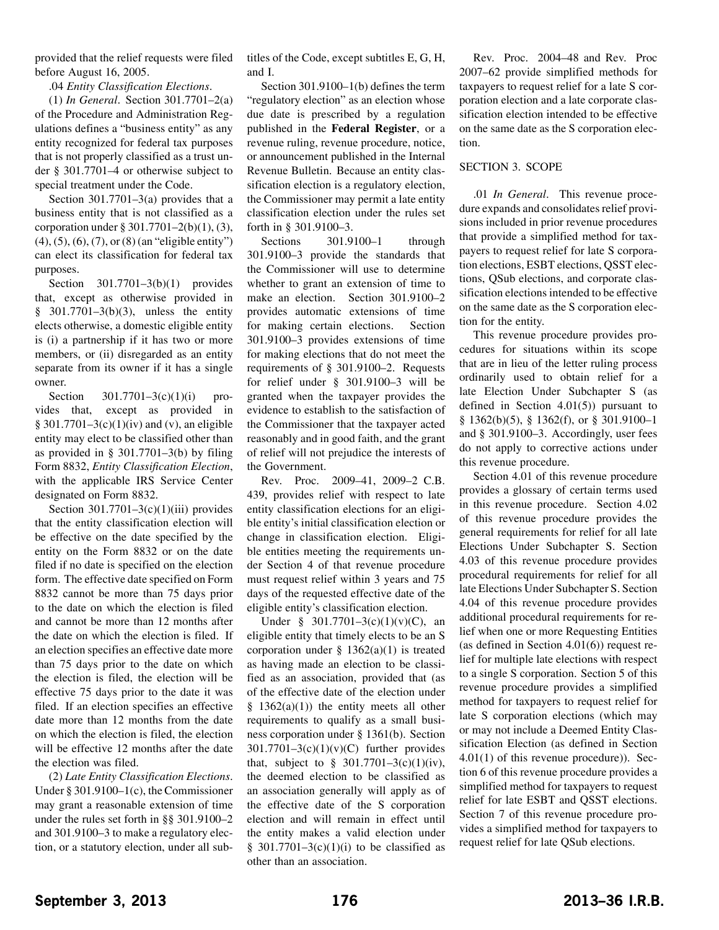provided that the relief requests were filed before August 16, 2005.

.04 *Entity Classification Elections*.

(1) *In General*. Section 301.7701–2(a) of the Procedure and Administration Regulations defines a "business entity" as any entity recognized for federal tax purposes that is not properly classified as a trust under § 301.7701–4 or otherwise subject to special treatment under the Code.

Section  $301.7701-3$ (a) provides that a business entity that is not classified as a corporation under § 301.7701–2(b)(1), (3),  $(4)$ ,  $(5)$ ,  $(6)$ ,  $(7)$ , or  $(8)$  (an "eligible entity") can elect its classification for federal tax purposes.

Section 301.7701–3(b)(1) provides that, except as otherwise provided in § 301.7701–3(b)(3), unless the entity elects otherwise, a domestic eligible entity is (i) a partnership if it has two or more members, or (ii) disregarded as an entity separate from its owner if it has a single owner.

Section  $301.7701 - 3(c)(1)(i)$  provides that, except as provided in  $§ 301.7701-3(c)(1)(iv)$  and (v), an eligible entity may elect to be classified other than as provided in § 301.7701–3(b) by filing Form 8832, *Entity Classification Election*, with the applicable IRS Service Center designated on Form 8832.

Section  $301.7701-3(c)(1)(iii)$  provides that the entity classification election will be effective on the date specified by the entity on the Form 8832 or on the date filed if no date is specified on the election form. The effective date specified on Form 8832 cannot be more than 75 days prior to the date on which the election is filed and cannot be more than 12 months after the date on which the election is filed. If an election specifies an effective date more than 75 days prior to the date on which the election is filed, the election will be effective 75 days prior to the date it was filed. If an election specifies an effective date more than 12 months from the date on which the election is filed, the election will be effective 12 months after the date the election was filed.

(2) *Late Entity Classification Elections*. Under § 301.9100–1(c), the Commissioner may grant a reasonable extension of time under the rules set forth in §§ 301.9100–2 and 301.9100–3 to make a regulatory election, or a statutory election, under all subtitles of the Code, except subtitles E, G, H, and I.

Section 301.9100–1(b) defines the term "regulatory election" as an election whose due date is prescribed by a regulation published in the **Federal Register**, or a revenue ruling, revenue procedure, notice, or announcement published in the Internal Revenue Bulletin. Because an entity classification election is a regulatory election, the Commissioner may permit a late entity classification election under the rules set forth in § 301.9100–3.

Sections 301.9100–1 through 301.9100–3 provide the standards that the Commissioner will use to determine whether to grant an extension of time to make an election. Section 301.9100–2 provides automatic extensions of time for making certain elections. Section 301.9100–3 provides extensions of time for making elections that do not meet the requirements of § 301.9100–2. Requests for relief under § 301.9100–3 will be granted when the taxpayer provides the evidence to establish to the satisfaction of the Commissioner that the taxpayer acted reasonably and in good faith, and the grant of relief will not prejudice the interests of the Government.

Rev. Proc. 2009–41, 2009–2 C.B. 439, provides relief with respect to late entity classification elections for an eligible entity's initial classification election or change in classification election. Eligible entities meeting the requirements under Section 4 of that revenue procedure must request relief within 3 years and 75 days of the requested effective date of the eligible entity's classification election.

Under § 301.7701–3(c)(1)(v)(C), an eligible entity that timely elects to be an S corporation under  $\S$  1362(a)(1) is treated as having made an election to be classified as an association, provided that (as of the effective date of the election under  $§$  1362(a)(1)) the entity meets all other requirements to qualify as a small business corporation under § 1361(b). Section  $301.7701-3(c)(1)(v)(C)$  further provides that, subject to  $§ 301.7701-3(c)(1)(iv)$ , the deemed election to be classified as an association generally will apply as of the effective date of the S corporation election and will remain in effect until the entity makes a valid election under § 301.7701–3(c)(1)(i) to be classified as other than an association.

Rev. Proc. 2004–48 and Rev. Proc 2007–62 provide simplified methods for taxpayers to request relief for a late S corporation election and a late corporate classification election intended to be effective on the same date as the S corporation election.

#### SECTION 3. SCOPE

.01 *In General*. This revenue procedure expands and consolidates relief provisions included in prior revenue procedures that provide a simplified method for taxpayers to request relief for late S corporation elections, ESBT elections, QSST elections, QSub elections, and corporate classification elections intended to be effective on the same date as the S corporation election for the entity.

This revenue procedure provides procedures for situations within its scope that are in lieu of the letter ruling process ordinarily used to obtain relief for a late Election Under Subchapter S (as defined in Section  $4.01(5)$  pursuant to § 1362(b)(5), § 1362(f), or § 301.9100–1 and § 301.9100–3. Accordingly, user fees do not apply to corrective actions under this revenue procedure.

Section 4.01 of this revenue procedure provides a glossary of certain terms used in this revenue procedure. Section 4.02 of this revenue procedure provides the general requirements for relief for all late Elections Under Subchapter S. Section 4.03 of this revenue procedure provides procedural requirements for relief for all late Elections Under Subchapter S. Section 4.04 of this revenue procedure provides additional procedural requirements for relief when one or more Requesting Entities (as defined in Section 4.01(6)) request relief for multiple late elections with respect to a single S corporation. Section 5 of this revenue procedure provides a simplified method for taxpayers to request relief for late S corporation elections (which may or may not include a Deemed Entity Classification Election (as defined in Section 4.01(1) of this revenue procedure)). Section 6 of this revenue procedure provides a simplified method for taxpayers to request relief for late ESBT and QSST elections. Section 7 of this revenue procedure provides a simplified method for taxpayers to request relief for late QSub elections.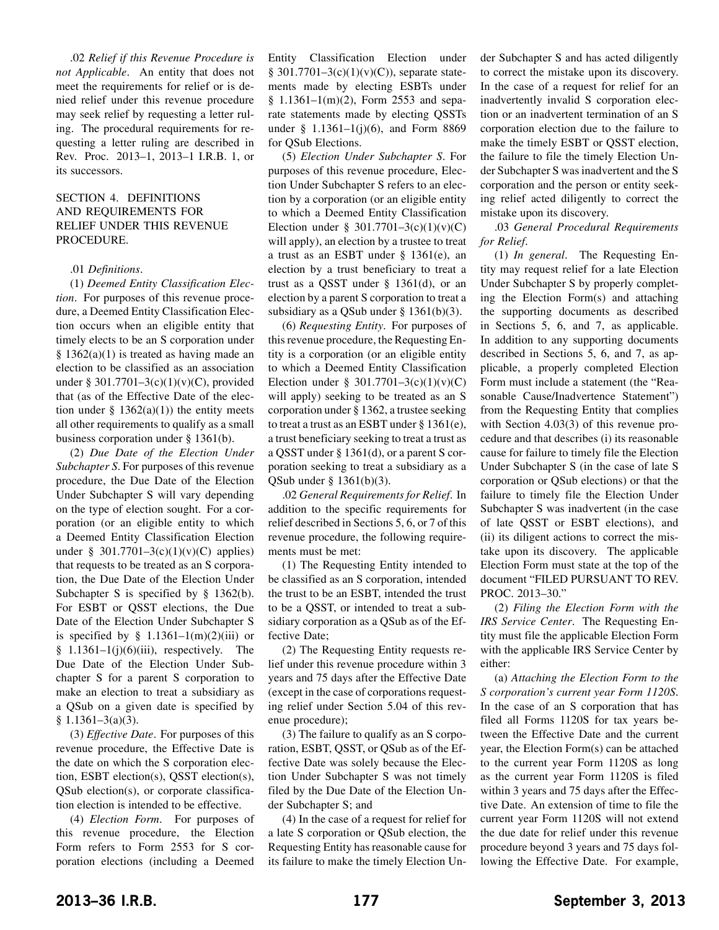.02 *Relief if this Revenue Procedure is not Applicable*. An entity that does not meet the requirements for relief or is denied relief under this revenue procedure may seek relief by requesting a letter ruling. The procedural requirements for requesting a letter ruling are described in Rev. Proc. 2013–1, 2013–1 I.R.B. 1, or its successors.

#### SECTION 4. DEFINITIONS AND REQUIREMENTS FOR RELIEF UNDER THIS REVENUE PROCEDURE.

#### .01 *Definitions*.

(1) *Deemed Entity Classification Election*. For purposes of this revenue procedure, a Deemed Entity Classification Election occurs when an eligible entity that timely elects to be an S corporation under  $§ 1362(a)(1)$  is treated as having made an election to be classified as an association under § 301.7701–3(c)(1)(v)(C), provided that (as of the Effective Date of the election under  $\S$  1362(a)(1)) the entity meets all other requirements to qualify as a small business corporation under § 1361(b).

(2) *Due Date of the Election Under Subchapter S*. For purposes of this revenue procedure, the Due Date of the Election Under Subchapter S will vary depending on the type of election sought. For a corporation (or an eligible entity to which a Deemed Entity Classification Election under § 301.7701–3(c)(1)(v)(C) applies) that requests to be treated as an S corporation, the Due Date of the Election Under Subchapter S is specified by § 1362(b). For ESBT or QSST elections, the Due Date of the Election Under Subchapter S is specified by  $§$  1.1361–1(m)(2)(iii) or  $§$  1.1361–1(j)(6)(iii), respectively. The Due Date of the Election Under Subchapter S for a parent S corporation to make an election to treat a subsidiary as a QSub on a given date is specified by § 1.1361–3(a)(3).

(3) *Effective Date*. For purposes of this revenue procedure, the Effective Date is the date on which the S corporation election, ESBT election(s), QSST election(s), QSub election(s), or corporate classification election is intended to be effective.

(4) *Election Form*. For purposes of this revenue procedure, the Election Form refers to Form 2553 for S corporation elections (including a Deemed

Entity Classification Election under  $§ 301.7701-3(c)(1)(v)(C)),$  separate statements made by electing ESBTs under § 1.1361–1(m)(2), Form 2553 and separate statements made by electing QSSTs under § 1.1361–1(j)(6), and Form 8869 for QSub Elections.

(5) *Election Under Subchapter S*. For purposes of this revenue procedure, Election Under Subchapter S refers to an election by a corporation (or an eligible entity to which a Deemed Entity Classification Election under § 301.7701–3 $(c)(1)(v)(C)$ will apply), an election by a trustee to treat a trust as an ESBT under § 1361(e), an election by a trust beneficiary to treat a trust as a QSST under  $\S$  1361(d), or an election by a parent S corporation to treat a subsidiary as a QSub under § 1361(b)(3).

(6) *Requesting Entity*. For purposes of this revenue procedure, the Requesting Entity is a corporation (or an eligible entity to which a Deemed Entity Classification Election under § 301.7701–3 $(c)(1)(v)(C)$ will apply) seeking to be treated as an S corporation under § 1362, a trustee seeking to treat a trust as an ESBT under § 1361(e), a trust beneficiary seeking to treat a trust as a QSST under § 1361(d), or a parent S corporation seeking to treat a subsidiary as a QSub under § 1361(b)(3).

.02 *General Requirements for Relief*. In addition to the specific requirements for relief described in Sections 5, 6, or 7 of this revenue procedure, the following requirements must be met:

(1) The Requesting Entity intended to be classified as an S corporation, intended the trust to be an ESBT, intended the trust to be a QSST, or intended to treat a subsidiary corporation as a QSub as of the Effective Date;

(2) The Requesting Entity requests relief under this revenue procedure within 3 years and 75 days after the Effective Date (except in the case of corporations requesting relief under Section 5.04 of this revenue procedure);

(3) The failure to qualify as an S corporation, ESBT, QSST, or QSub as of the Effective Date was solely because the Election Under Subchapter S was not timely filed by the Due Date of the Election Under Subchapter S; and

(4) In the case of a request for relief for a late S corporation or QSub election, the Requesting Entity has reasonable cause for its failure to make the timely Election Under Subchapter S and has acted diligently to correct the mistake upon its discovery. In the case of a request for relief for an inadvertently invalid S corporation election or an inadvertent termination of an S corporation election due to the failure to make the timely ESBT or QSST election, the failure to file the timely Election Under Subchapter S was inadvertent and the S corporation and the person or entity seeking relief acted diligently to correct the mistake upon its discovery.

.03 *General Procedural Requirements for Relief*.

(1) *In general*. The Requesting Entity may request relief for a late Election Under Subchapter S by properly completing the Election Form(s) and attaching the supporting documents as described in Sections 5, 6, and 7, as applicable. In addition to any supporting documents described in Sections 5, 6, and 7, as applicable, a properly completed Election Form must include a statement (the "Reasonable Cause/Inadvertence Statement") from the Requesting Entity that complies with Section 4.03(3) of this revenue procedure and that describes (i) its reasonable cause for failure to timely file the Election Under Subchapter S (in the case of late S corporation or QSub elections) or that the failure to timely file the Election Under Subchapter S was inadvertent (in the case of late QSST or ESBT elections), and (ii) its diligent actions to correct the mistake upon its discovery. The applicable Election Form must state at the top of the document "FILED PURSUANT TO REV. PROC. 2013–30."

(2) *Filing the Election Form with the IRS Service Center*. The Requesting Entity must file the applicable Election Form with the applicable IRS Service Center by either:

(a) *Attaching the Election Form to the S corporation's current year Form 1120S*. In the case of an S corporation that has filed all Forms 1120S for tax years between the Effective Date and the current year, the Election Form(s) can be attached to the current year Form 1120S as long as the current year Form 1120S is filed within 3 years and 75 days after the Effective Date. An extension of time to file the current year Form 1120S will not extend the due date for relief under this revenue procedure beyond 3 years and 75 days following the Effective Date. For example,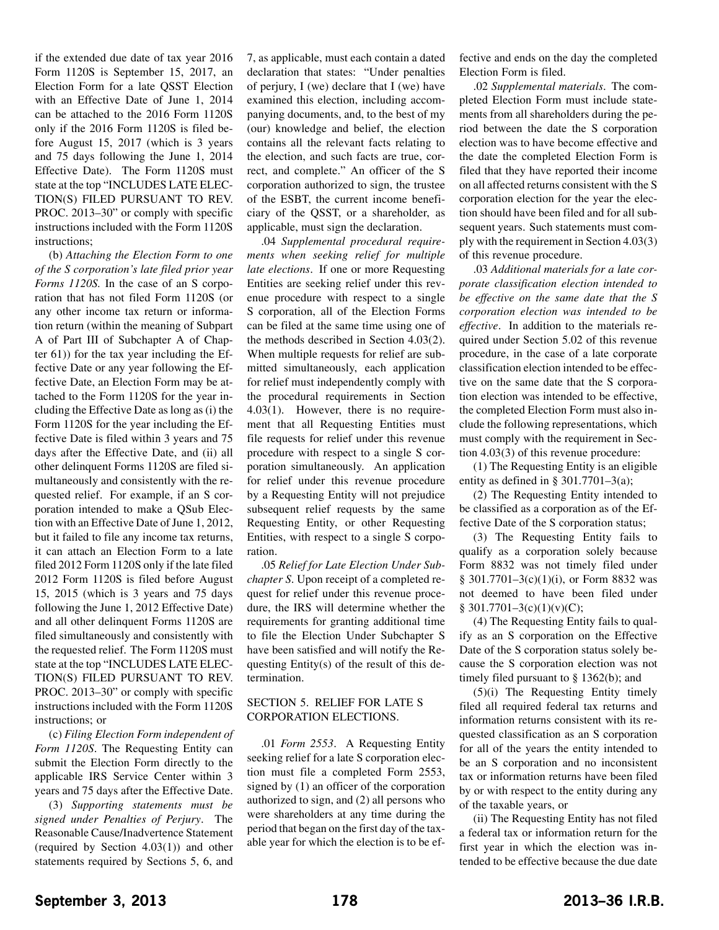if the extended due date of tax year 2016 Form 1120S is September 15, 2017, an Election Form for a late QSST Election with an Effective Date of June 1, 2014 can be attached to the 2016 Form 1120S only if the 2016 Form 1120S is filed before August 15, 2017 (which is 3 years and 75 days following the June 1, 2014 Effective Date). The Form 1120S must state at the top "INCLUDES LATE ELEC-TION(S) FILED PURSUANT TO REV. PROC. 2013–30" or comply with specific instructions included with the Form 1120S instructions;

(b) *Attaching the Election Form to one of the S corporation's late filed prior year Forms 1120S.* In the case of an S corporation that has not filed Form 1120S (or any other income tax return or information return (within the meaning of Subpart A of Part III of Subchapter A of Chapter 61)) for the tax year including the Effective Date or any year following the Effective Date, an Election Form may be attached to the Form 1120S for the year including the Effective Date as long as (i) the Form 1120S for the year including the Effective Date is filed within 3 years and 75 days after the Effective Date, and (ii) all other delinquent Forms 1120S are filed simultaneously and consistently with the requested relief. For example, if an S corporation intended to make a QSub Election with an Effective Date of June 1, 2012, but it failed to file any income tax returns, it can attach an Election Form to a late filed 2012 Form 1120S only if the late filed 2012 Form 1120S is filed before August 15, 2015 (which is 3 years and 75 days following the June 1, 2012 Effective Date) and all other delinquent Forms 1120S are filed simultaneously and consistently with the requested relief. The Form 1120S must state at the top "INCLUDES LATE ELEC-TION(S) FILED PURSUANT TO REV. PROC. 2013–30" or comply with specific instructions included with the Form 1120S instructions; or

(c) *Filing Election Form independent of Form 1120S*. The Requesting Entity can submit the Election Form directly to the applicable IRS Service Center within 3 years and 75 days after the Effective Date.

(3) *Supporting statements must be signed under Penalties of Perjury*. The Reasonable Cause/Inadvertence Statement (required by Section 4.03(1)) and other statements required by Sections 5, 6, and

7, as applicable, must each contain a dated declaration that states: "Under penalties of perjury, I (we) declare that I (we) have examined this election, including accompanying documents, and, to the best of my (our) knowledge and belief, the election contains all the relevant facts relating to the election, and such facts are true, correct, and complete." An officer of the S corporation authorized to sign, the trustee of the ESBT, the current income beneficiary of the QSST, or a shareholder, as applicable, must sign the declaration.

.04 *Supplemental procedural requirements when seeking relief for multiple late elections*. If one or more Requesting Entities are seeking relief under this revenue procedure with respect to a single S corporation, all of the Election Forms can be filed at the same time using one of the methods described in Section 4.03(2). When multiple requests for relief are submitted simultaneously, each application for relief must independently comply with the procedural requirements in Section 4.03(1). However, there is no requirement that all Requesting Entities must file requests for relief under this revenue procedure with respect to a single S corporation simultaneously. An application for relief under this revenue procedure by a Requesting Entity will not prejudice subsequent relief requests by the same Requesting Entity, or other Requesting Entities, with respect to a single S corporation.

.05 *Relief for Late Election Under Subchapter S*. Upon receipt of a completed request for relief under this revenue procedure, the IRS will determine whether the requirements for granting additional time to file the Election Under Subchapter S have been satisfied and will notify the Requesting Entity(s) of the result of this determination.

#### SECTION 5. RELIEF FOR LATE S CORPORATION ELECTIONS.

.01 *Form 2553*. A Requesting Entity seeking relief for a late S corporation election must file a completed Form 2553, signed by (1) an officer of the corporation authorized to sign, and (2) all persons who were shareholders at any time during the period that began on the first day of the taxable year for which the election is to be effective and ends on the day the completed Election Form is filed.

.02 *Supplemental materials*. The completed Election Form must include statements from all shareholders during the period between the date the S corporation election was to have become effective and the date the completed Election Form is filed that they have reported their income on all affected returns consistent with the S corporation election for the year the election should have been filed and for all subsequent years. Such statements must comply with the requirement in Section 4.03(3) of this revenue procedure.

.03 *Additional materials for a late corporate classification election intended to be effective on the same date that the S corporation election was intended to be effective*. In addition to the materials required under Section 5.02 of this revenue procedure, in the case of a late corporate classification election intended to be effective on the same date that the S corporation election was intended to be effective, the completed Election Form must also include the following representations, which must comply with the requirement in Section 4.03(3) of this revenue procedure:

(1) The Requesting Entity is an eligible entity as defined in § 301.7701–3(a);

(2) The Requesting Entity intended to be classified as a corporation as of the Effective Date of the S corporation status;

(3) The Requesting Entity fails to qualify as a corporation solely because Form 8832 was not timely filed under § 301.7701–3(c)(1)(i), or Form 8832 was not deemed to have been filed under  $§ 301.7701 - 3(c)(1)(v)(C);$ 

(4) The Requesting Entity fails to qualify as an S corporation on the Effective Date of the S corporation status solely because the S corporation election was not timely filed pursuant to § 1362(b); and

(5)(i) The Requesting Entity timely filed all required federal tax returns and information returns consistent with its requested classification as an S corporation for all of the years the entity intended to be an S corporation and no inconsistent tax or information returns have been filed by or with respect to the entity during any of the taxable years, or

(ii) The Requesting Entity has not filed a federal tax or information return for the first year in which the election was intended to be effective because the due date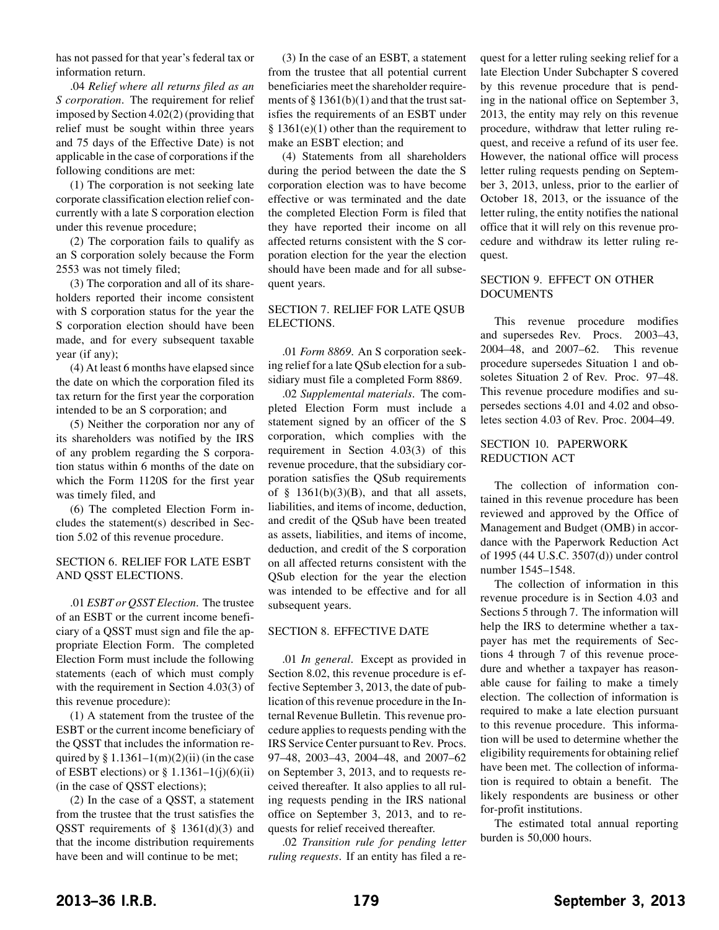has not passed for that year's federal tax or information return.

.04 *Relief where all returns filed as an S corporation*. The requirement for relief imposed by Section 4.02(2) (providing that relief must be sought within three years and 75 days of the Effective Date) is not applicable in the case of corporations if the following conditions are met:

(1) The corporation is not seeking late corporate classification election relief concurrently with a late S corporation election under this revenue procedure;

(2) The corporation fails to qualify as an S corporation solely because the Form 2553 was not timely filed;

(3) The corporation and all of its shareholders reported their income consistent with S corporation status for the year the S corporation election should have been made, and for every subsequent taxable year (if any);

(4) At least 6 months have elapsed since the date on which the corporation filed its tax return for the first year the corporation intended to be an S corporation; and

(5) Neither the corporation nor any of its shareholders was notified by the IRS of any problem regarding the S corporation status within 6 months of the date on which the Form 1120S for the first year was timely filed, and

(6) The completed Election Form includes the statement(s) described in Section 5.02 of this revenue procedure.

#### SECTION 6. RELIEF FOR LATE ESBT AND QSST ELECTIONS.

.01 *ESBT or QSST Election*. The trustee of an ESBT or the current income beneficiary of a QSST must sign and file the appropriate Election Form. The completed Election Form must include the following statements (each of which must comply with the requirement in Section 4.03(3) of this revenue procedure):

(1) A statement from the trustee of the ESBT or the current income beneficiary of the QSST that includes the information required by § 1.1361–1(m)(2)(ii) (in the case of ESBT elections) or  $\S 1.1361 - 1(j)(6)(ii)$ (in the case of QSST elections);

(2) In the case of a QSST, a statement from the trustee that the trust satisfies the QSST requirements of  $\S$  1361(d)(3) and that the income distribution requirements have been and will continue to be met;

(3) In the case of an ESBT, a statement from the trustee that all potential current beneficiaries meet the shareholder requirements of  $\S 1361(b)(1)$  and that the trust satisfies the requirements of an ESBT under  $§ 1361(e)(1)$  other than the requirement to make an ESBT election; and

(4) Statements from all shareholders during the period between the date the S corporation election was to have become effective or was terminated and the date the completed Election Form is filed that they have reported their income on all affected returns consistent with the S corporation election for the year the election should have been made and for all subsequent years.

#### SECTION 7. RELIEF FOR LATE QSUB ELECTIONS.

.01 *Form 8869*. An S corporation seeking relief for a late QSub election for a subsidiary must file a completed Form 8869.

.02 *Supplemental materials*. The completed Election Form must include a statement signed by an officer of the S corporation, which complies with the requirement in Section 4.03(3) of this revenue procedure, that the subsidiary corporation satisfies the QSub requirements of  $\S$  1361(b)(3)(B), and that all assets, liabilities, and items of income, deduction, and credit of the QSub have been treated as assets, liabilities, and items of income, deduction, and credit of the S corporation on all affected returns consistent with the QSub election for the year the election was intended to be effective and for all subsequent years.

#### SECTION 8. EFFECTIVE DATE

.01 *In general*. Except as provided in Section 8.02, this revenue procedure is effective September 3, 2013, the date of publication of this revenue procedure in the Internal Revenue Bulletin. This revenue procedure applies to requests pending with the IRS Service Center pursuant to Rev. Procs. 97–48, 2003–43, 2004–48, and 2007–62 on September 3, 2013, and to requests received thereafter. It also applies to all ruling requests pending in the IRS national office on September 3, 2013, and to requests for relief received thereafter.

.02 *Transition rule for pending letter ruling requests*. If an entity has filed a request for a letter ruling seeking relief for a late Election Under Subchapter S covered by this revenue procedure that is pending in the national office on September 3, 2013, the entity may rely on this revenue procedure, withdraw that letter ruling request, and receive a refund of its user fee. However, the national office will process letter ruling requests pending on September 3, 2013, unless, prior to the earlier of October 18, 2013, or the issuance of the letter ruling, the entity notifies the national office that it will rely on this revenue procedure and withdraw its letter ruling request.

#### SECTION 9. EFFECT ON OTHER DOCUMENTS

This revenue procedure modifies and supersedes Rev. Procs. 2003–43, 2004–48, and 2007–62. This revenue procedure supersedes Situation 1 and obsoletes Situation 2 of Rev. Proc. 97–48. This revenue procedure modifies and supersedes sections 4.01 and 4.02 and obsoletes section 4.03 of Rev. Proc. 2004–49.

#### SECTION 10. PAPERWORK REDUCTION ACT

The collection of information contained in this revenue procedure has been reviewed and approved by the Office of Management and Budget (OMB) in accordance with the Paperwork Reduction Act of 1995 (44 U.S.C. 3507(d)) under control number 1545–1548.

The collection of information in this revenue procedure is in Section 4.03 and Sections 5 through 7. The information will help the IRS to determine whether a taxpayer has met the requirements of Sections 4 through 7 of this revenue procedure and whether a taxpayer has reasonable cause for failing to make a timely election. The collection of information is required to make a late election pursuant to this revenue procedure. This information will be used to determine whether the eligibility requirements for obtaining relief have been met. The collection of information is required to obtain a benefit. The likely respondents are business or other for-profit institutions.

The estimated total annual reporting burden is 50,000 hours.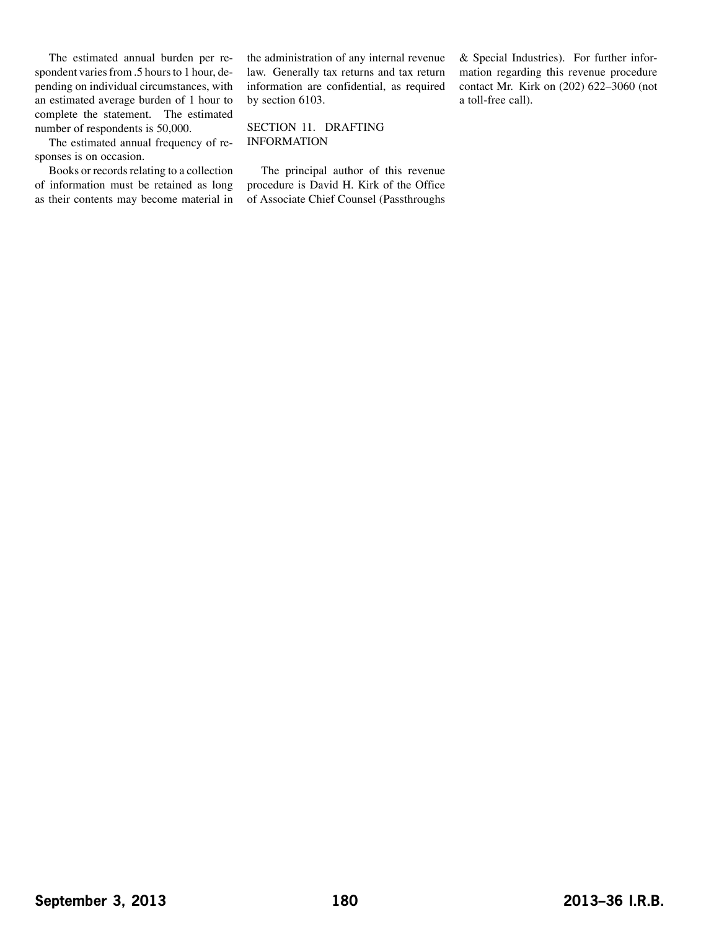The estimated annual burden per respondent varies from .5 hours to 1 hour, depending on individual circumstances, with an estimated average burden of 1 hour to complete the statement. The estimated number of respondents is 50,000.

The estimated annual frequency of responses is on occasion.

Books or records relating to a collection of information must be retained as long as their contents may become material in

the administration of any internal revenue law. Generally tax returns and tax return information are confidential, as required by section 6103.

#### SECTION 11. DRAFTING INFORMATION

The principal author of this revenue procedure is David H. Kirk of the Office of Associate Chief Counsel (Passthroughs & Special Industries). For further information regarding this revenue procedure contact Mr. Kirk on (202) 622–3060 (not a toll-free call).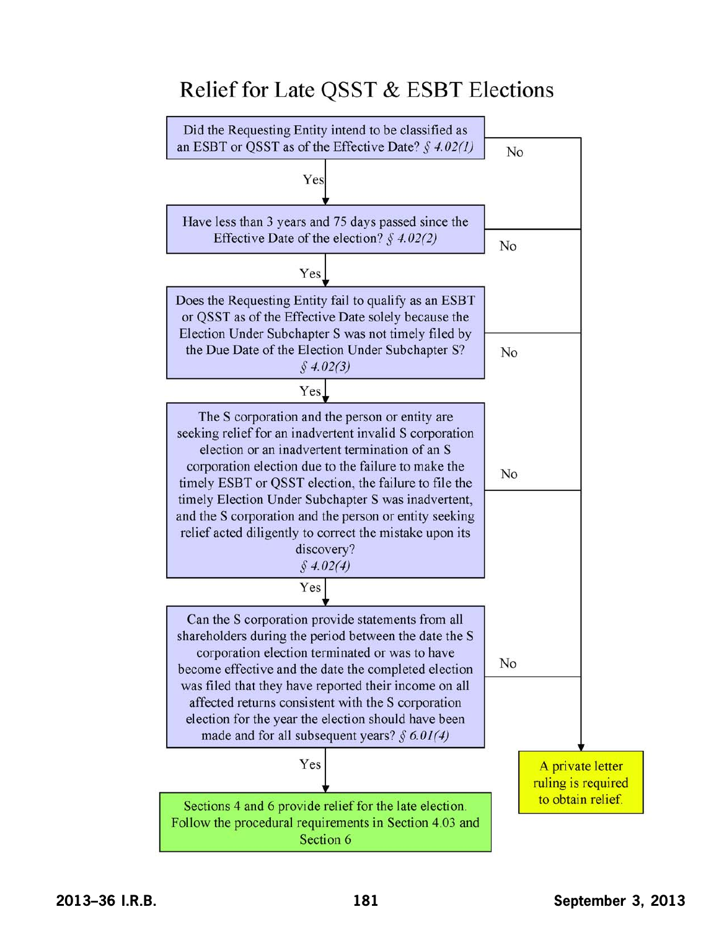# Relief for Late QSST & ESBT Elections

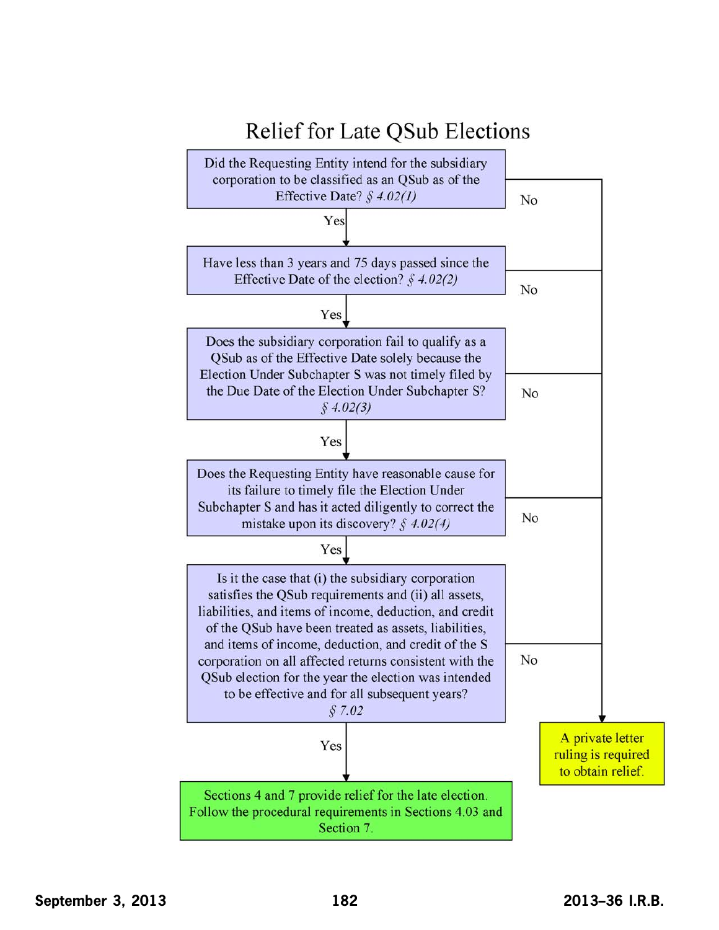

## **September 3, 2013 182 2013–36 I.R.B.**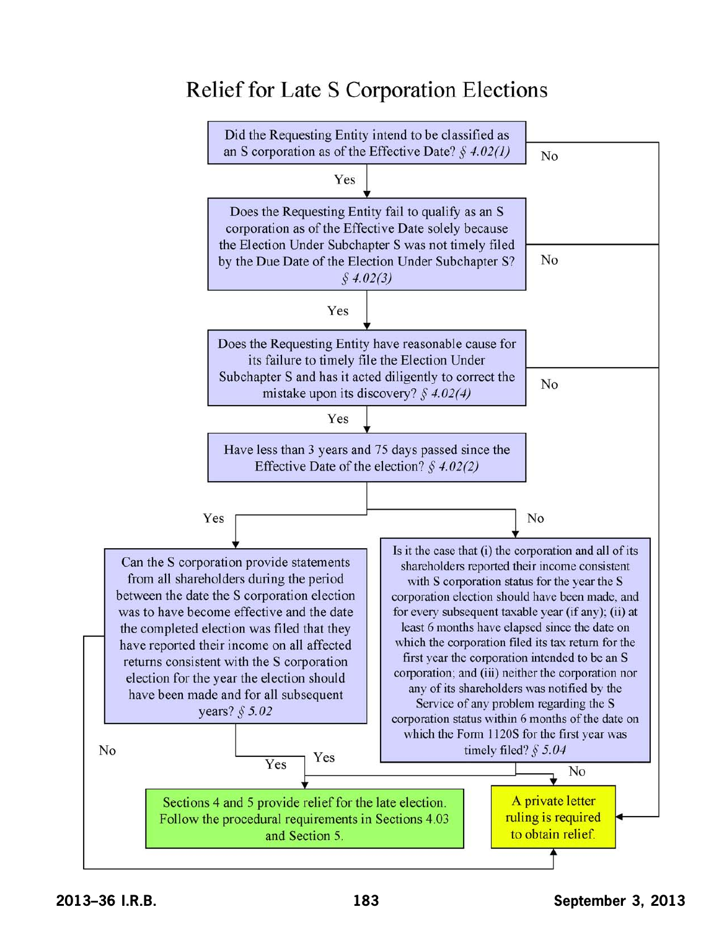# **Relief for Late S Corporation Elections**

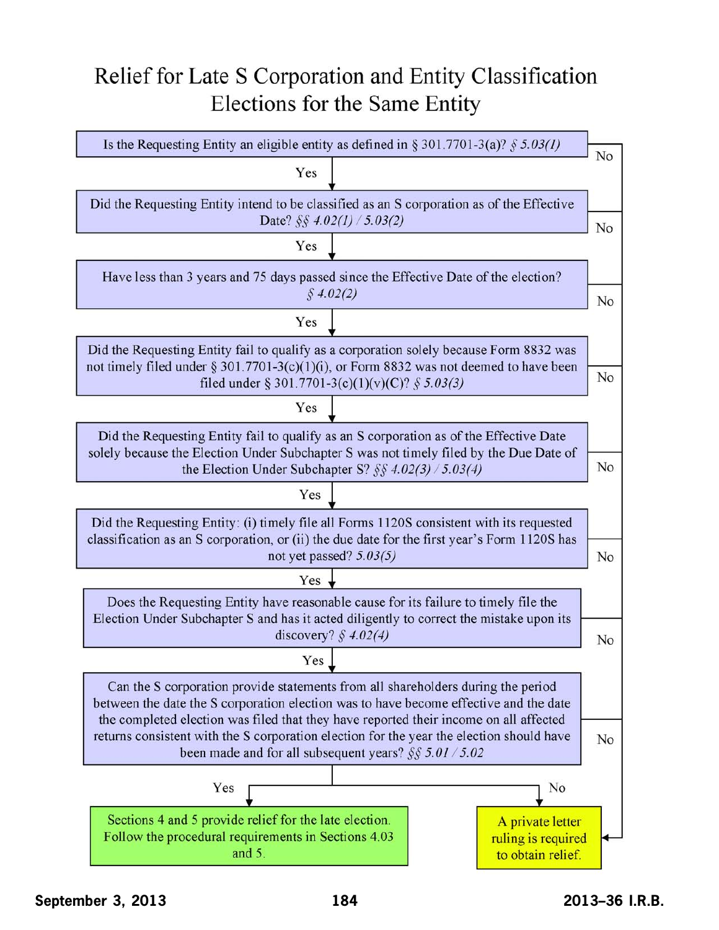# Relief for Late S Corporation and Entity Classification Elections for the Same Entity

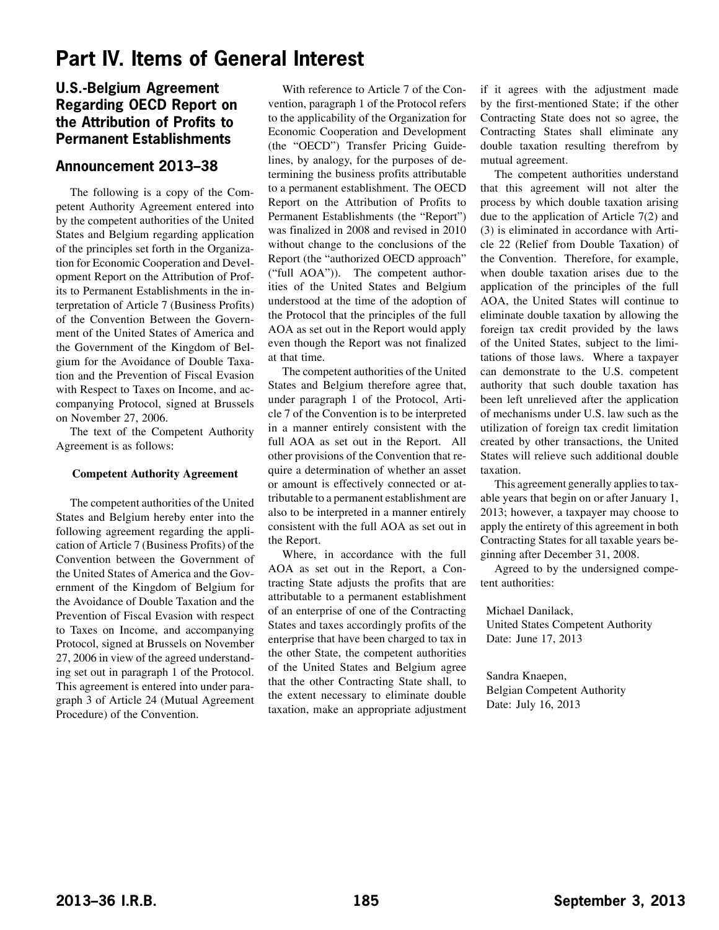## <span id="page-19-0"></span>**Part IV. Items of General Interest**

## **U.S.-Belgium Agreement Regarding OECD Report on the Attribution of Profits to Permanent Establishments**

### **Announcement 2013–38**

The following is a copy of the Competent Authority Agreement entered into by the competent authorities of the United States and Belgium regarding application of the principles set forth in the Organization for Economic Cooperation and Development Report on the Attribution of Profits to Permanent Establishments in the interpretation of Article 7 (Business Profits) of the Convention Between the Government of the United States of America and the Government of the Kingdom of Belgium for the Avoidance of Double Taxation and the Prevention of Fiscal Evasion with Respect to Taxes on Income, and accompanying Protocol, signed at Brussels on November 27, 2006.

The text of the Competent Authority Agreement is as follows:

#### **Competent Authority Agreement**

The competent authorities of the United States and Belgium hereby enter into the following agreement regarding the application of Article 7 (Business Profits) of the Convention between the Government of the United States of America and the Government of the Kingdom of Belgium for the Avoidance of Double Taxation and the Prevention of Fiscal Evasion with respect to Taxes on Income, and accompanying Protocol, signed at Brussels on November 27, 2006 in view of the agreed understanding set out in paragraph 1 of the Protocol. This agreement is entered into under paragraph 3 of Article 24 (Mutual Agreement Procedure) of the Convention.

With reference to Article 7 of the Convention, paragraph 1 of the Protocol refers to the applicability of the Organization for Economic Cooperation and Development (the "OECD") Transfer Pricing Guidelines, by analogy, for the purposes of determining the business profits attributable to a permanent establishment. The OECD Report on the Attribution of Profits to Permanent Establishments (the "Report") was finalized in 2008 and revised in 2010 without change to the conclusions of the Report (the "authorized OECD approach" ("full AOA")). The competent authorities of the United States and Belgium understood at the time of the adoption of the Protocol that the principles of the full AOA as set out in the Report would apply even though the Report was not finalized at that time.

The competent authorities of the United States and Belgium therefore agree that, under paragraph 1 of the Protocol, Article 7 of the Convention is to be interpreted in a manner entirely consistent with the full AOA as set out in the Report. All other provisions of the Convention that require a determination of whether an asset or amount is effectively connected or attributable to a permanent establishment are also to be interpreted in a manner entirely consistent with the full AOA as set out in the Report.

Where, in accordance with the full AOA as set out in the Report, a Contracting State adjusts the profits that are attributable to a permanent establishment of an enterprise of one of the Contracting States and taxes accordingly profits of the enterprise that have been charged to tax in the other State, the competent authorities of the United States and Belgium agree that the other Contracting State shall, to the extent necessary to eliminate double taxation, make an appropriate adjustment if it agrees with the adjustment made by the first-mentioned State; if the other Contracting State does not so agree, the Contracting States shall eliminate any double taxation resulting therefrom by mutual agreement.

The competent authorities understand that this agreement will not alter the process by which double taxation arising due to the application of Article 7(2) and (3) is eliminated in accordance with Article 22 (Relief from Double Taxation) of the Convention. Therefore, for example, when double taxation arises due to the application of the principles of the full AOA, the United States will continue to eliminate double taxation by allowing the foreign tax credit provided by the laws of the United States, subject to the limitations of those laws. Where a taxpayer can demonstrate to the U.S. competent authority that such double taxation has been left unrelieved after the application of mechanisms under U.S. law such as the utilization of foreign tax credit limitation created by other transactions, the United States will relieve such additional double taxation.

This agreement generally applies to taxable years that begin on or after January 1, 2013; however, a taxpayer may choose to apply the entirety of this agreement in both Contracting States for all taxable years beginning after December 31, 2008.

Agreed to by the undersigned competent authorities:

Michael Danilack,

United States Competent Authority Date: June 17, 2013

Sandra Knaepen, Belgian Competent Authority Date: July 16, 2013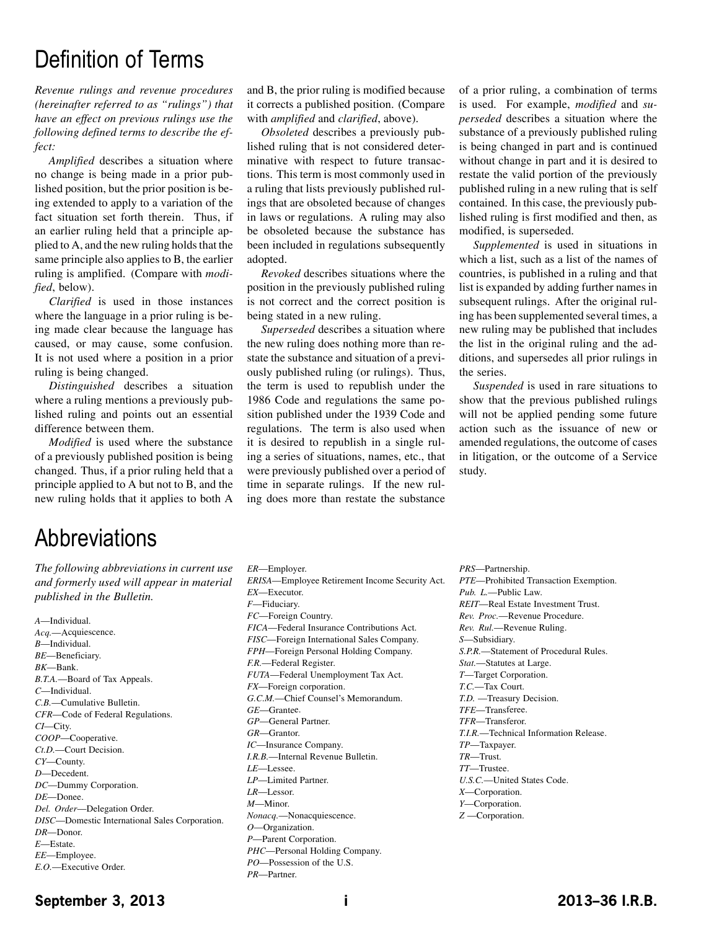# Definition of Terms

*Revenue rulings and revenue procedures (hereinafter referred to as "rulings") that have an effect on previous rulings use the following defined terms to describe the effect:*

*Amplified* describes a situation where no change is being made in a prior published position, but the prior position is being extended to apply to a variation of the fact situation set forth therein. Thus, if an earlier ruling held that a principle applied to A, and the new ruling holds that the same principle also applies to B, the earlier ruling is amplified. (Compare with *modified*, below).

*Clarified* is used in those instances where the language in a prior ruling is being made clear because the language has caused, or may cause, some confusion. It is not used where a position in a prior ruling is being changed.

*Distinguished* describes a situation where a ruling mentions a previously published ruling and points out an essential difference between them.

*Modified* is used where the substance of a previously published position is being changed. Thus, if a prior ruling held that a principle applied to A but not to B, and the new ruling holds that it applies to both A

and B, the prior ruling is modified because it corrects a published position. (Compare with *amplified* and *clarified*, above).

*Obsoleted* describes a previously published ruling that is not considered determinative with respect to future transactions. This term is most commonly used in a ruling that lists previously published rulings that are obsoleted because of changes in laws or regulations. A ruling may also be obsoleted because the substance has been included in regulations subsequently adopted.

*Revoked* describes situations where the position in the previously published ruling is not correct and the correct position is being stated in a new ruling.

*Superseded* describes a situation where the new ruling does nothing more than restate the substance and situation of a previously published ruling (or rulings). Thus, the term is used to republish under the 1986 Code and regulations the same position published under the 1939 Code and regulations. The term is also used when it is desired to republish in a single ruling a series of situations, names, etc., that were previously published over a period of time in separate rulings. If the new ruling does more than restate the substance

of a prior ruling, a combination of terms is used. For example, *modified* and *superseded* describes a situation where the substance of a previously published ruling is being changed in part and is continued without change in part and it is desired to restate the valid portion of the previously published ruling in a new ruling that is self contained. In this case, the previously published ruling is first modified and then, as modified, is superseded.

*Supplemented* is used in situations in which a list, such as a list of the names of countries, is published in a ruling and that list is expanded by adding further names in subsequent rulings. After the original ruling has been supplemented several times, a new ruling may be published that includes the list in the original ruling and the additions, and supersedes all prior rulings in the series.

*Suspended* is used in rare situations to show that the previous published rulings will not be applied pending some future action such as the issuance of new or amended regulations, the outcome of cases in litigation, or the outcome of a Service study.

# **Abbreviations**

*The following abbreviations in current use and formerly used will appear in material published in the Bulletin.*

- *A*—Individual. *Acq.*—Acquiescence. *B*—Individual. *BE*—Beneficiary. *BK*—Bank. *B.T.A.*—Board of Tax Appeals. *C*—Individual. *C.B.*—Cumulative Bulletin. *CFR*—Code of Federal Regulations. *CI*—City. *COOP*—Cooperative. *Ct.D.*—Court Decision. *CY*—County. *D*—Decedent. *DC*—Dummy Corporation. *DE*—Donee. *Del. Order*—Delegation Order. *DISC*—Domestic International Sales Corporation. *DR*—Donor. *E*—Estate. *EE*—Employee. *E.O.*—Executive Order.
- *ER*—Employer. *ERISA*—Employee Retirement Income Security Act. *EX*—Executor. *F*—Fiduciary. *FC*—Foreign Country. *FICA*—Federal Insurance Contributions Act. *FISC*—Foreign International Sales Company. *FPH*—Foreign Personal Holding Company. *F.R.*—Federal Register. *FUTA*—Federal Unemployment Tax Act. *FX*—Foreign corporation. *G.C.M.*—Chief Counsel's Memorandum. *GE*—Grantee. *GP*—General Partner. *GR*—Grantor. *IC*—Insurance Company. *I.R.B.*—Internal Revenue Bulletin. *LE*—Lessee. *LP*—Limited Partner. *LR*—Lessor. *M*—Minor. *Nonacq.*—Nonacquiescence. *O*—Organization. *P*—Parent Corporation. *PHC*—Personal Holding Company. *PO*—Possession of the U.S.
- *PRS*—Partnership. *PTE*—Prohibited Transaction Exemption. *Pub. L.*—Public Law. *REIT*—Real Estate Investment Trust. *Rev. Proc.*—Revenue Procedure. *Rev. Rul.*—Revenue Ruling. *S*—Subsidiary. *S.P.R.*—Statement of Procedural Rules. *Stat.*—Statutes at Large. *T*—Target Corporation. *T.C.*—Tax Court. *T.D.* —Treasury Decision. *TFE*—Transferee. *TFR*—Transferor. *T.I.R.*—Technical Information Release. *TP*—Taxpayer. *TR*—Trust. *TT*—Trustee. *U.S.C.*—United States Code. *X*—Corporation. *Y*—Corporation. *Z* —Corporation.

## **September 3, 2013 i 2013–36 I.R.B.**

*PR*—Partner.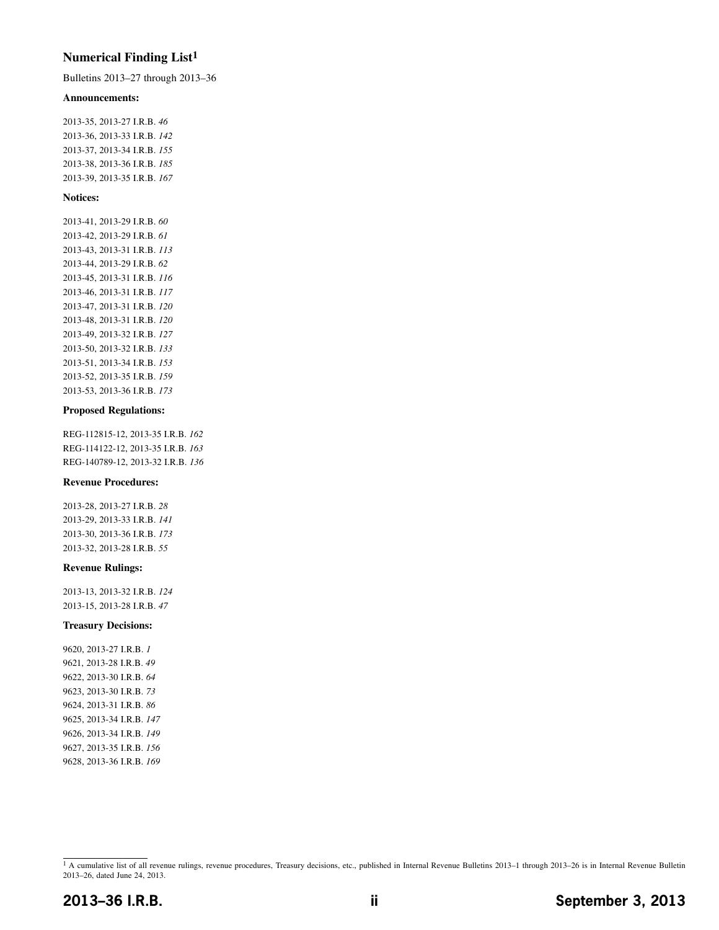### **Numerical Finding List1**

Bulletins 2013–27 through 2013–36

#### **Announcements:**

2013-35, 2013-27 I.R.B. *46* 2013-36, 2013-33 I.R.B. *142* 2013-37, 2013-34 I.R.B. *155* 2013-38, 2013-36 I.R.B. *[185](#page-19-0)* 2013-39, 2013-35 I.R.B. *167*

#### **Notices:**

2013-41, 2013-29 I.R.B. *60* 2013-42, 2013-29 I.R.B. *61* 2013-43, 2013-31 I.R.B. *113* 2013-44, 2013-29 I.R.B. *62* 2013-45, 2013-31 I.R.B. *116* 2013-46, 2013-31 I.R.B. *117* 2013-47, 2013-31 I.R.B. *120* 2013-48, 2013-31 I.R.B. *120* 2013-49, 2013-32 I.R.B. *127* 2013-50, 2013-32 I.R.B. *133* 2013-51, 2013-34 I.R.B. *153* 2013-52, 2013-35 I.R.B. *159* 2013-53, 2013-36 I.R.B. *[173](#page-7-0)*

#### **Proposed Regulations:**

REG-112815-12, 2013-35 I.R.B. *162* REG-114122-12, 2013-35 I.R.B. *163* REG-140789-12, 2013-32 I.R.B. *136*

#### **Revenue Procedures:**

2013-28, 2013-27 I.R.B. *28* 2013-29, 2013-33 I.R.B. *141* 2013-30, 2013-36 I.R.B. *[173](#page-7-0)* 2013-32, 2013-28 I.R.B. *55*

#### **Revenue Rulings:**

2013-13, 2013-32 I.R.B. *124* 2013-15, 2013-28 I.R.B. *47*

#### **Treasury Decisions:**

9620, 2013-27 I.R.B. *1* 9621, 2013-28 I.R.B. *49* 9622, 2013-30 I.R.B. *64* 9623, 2013-30 I.R.B. *73* 9624, 2013-31 I.R.B. *86* 9625, 2013-34 I.R.B. *147* 9626, 2013-34 I.R.B. *149* 9627, 2013-35 I.R.B. *156* 9628, 2013-36 I.R.B. *[169](#page-3-0)*

<sup>&</sup>lt;sup>1</sup> A cumulative list of all revenue rulings, revenue procedures, Treasury decisions, etc., published in Internal Revenue Bulletins 2013-1 through 2013-26 is in Internal Revenue Bulletin 2013–26, dated June 24, 2013.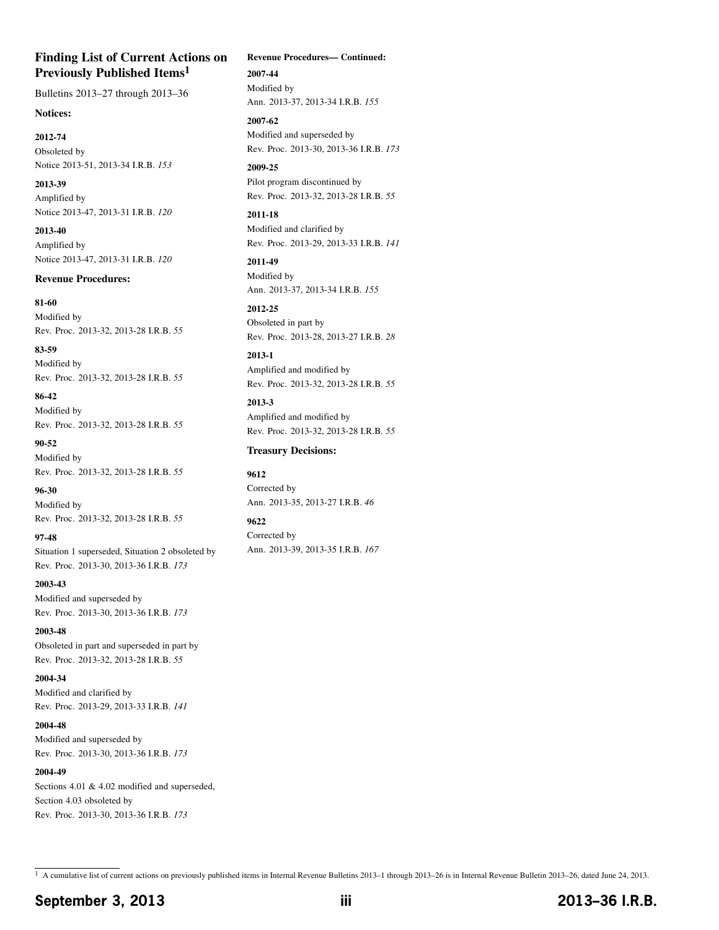### **Finding List of Current Actions on Previously Published Items1**

Bulletins 2013–27 through 2013–36

#### **Notices:**

**2012-74** Obsoleted by Notice 2013-51, 2013-34 I.R.B. *153*

**2013-39** Amplified by Notice 2013-47, 2013-31 I.R.B. *120*

**2013-40** Amplified by Notice 2013-47, 2013-31 I.R.B. *120*

#### **Revenue Procedures:**

**81-60** Modified by Rev. Proc. 2013-32, 2013-28 I.R.B. *55*

**83-59** Modified by Rev. Proc. 2013-32, 2013-28 I.R.B. *55*

**86-42** Modified by Rev. Proc. 2013-32, 2013-28 I.R.B. *55*

**90-52** Modified by Rev. Proc. 2013-32, 2013-28 I.R.B. *55*

**96-30** Modified by Rev. Proc. 2013-32, 2013-28 I.R.B. *55*

**97-48** Situation 1 superseded, Situation 2 obsoleted by Rev. Proc. 2013-30, 2013-36 I.R.B. *[173](#page-7-0)*

**2003-43** Modified and superseded by Rev. Proc. 2013-30, 2013-36 I.R.B. *[173](#page-7-0)*

**2003-48** Obsoleted in part and superseded in part by Rev. Proc. 2013-32, 2013-28 I.R.B. *55*

**2004-34** Modified and clarified by Rev. Proc. 2013-29, 2013-33 I.R.B. *141*

**2004-48** Modified and superseded by Rev. Proc. 2013-30, 2013-36 I.R.B. *[173](#page-7-0)*

**2004-49** Sections 4.01 & 4.02 modified and superseded, Section 4.03 obsoleted by Rev. Proc. 2013-30, 2013-36 I.R.B. *[173](#page-7-0)*

#### **Revenue Procedures— Continued:**

**2007-44** Modified by Ann. 2013-37, 2013-34 I.R.B. *155*

**2007-62** Modified and superseded by Rev. Proc. 2013-30, 2013-36 I.R.B. *[173](#page-7-0)*

**2009-25** Pilot program discontinued by Rev. Proc. 2013-32, 2013-28 I.R.B. *55*

**2011-18** Modified and clarified by Rev. Proc. 2013-29, 2013-33 I.R.B. *141*

**2011-49** Modified by Ann. 2013-37, 2013-34 I.R.B. *155*

**2012-25** Obsoleted in part by Rev. Proc. 2013-28, 2013-27 I.R.B. *28*

**2013-1** Amplified and modified by Rev. Proc. 2013-32, 2013-28 I.R.B. *55*

**2013-3** Amplified and modified by Rev. Proc. 2013-32, 2013-28 I.R.B. *55*

#### **Treasury Decisions:**

**9612**

Corrected by Ann. 2013-35, 2013-27 I.R.B. *46*

**9622** Corrected by Ann. 2013-39, 2013-35 I.R.B. *167*

1 A cumulative list of current actions on previously published items in Internal Revenue Bulletins 2013–1 through 2013–26 is in Internal Revenue Bulletin 2013–26, dated June 24, 2013.